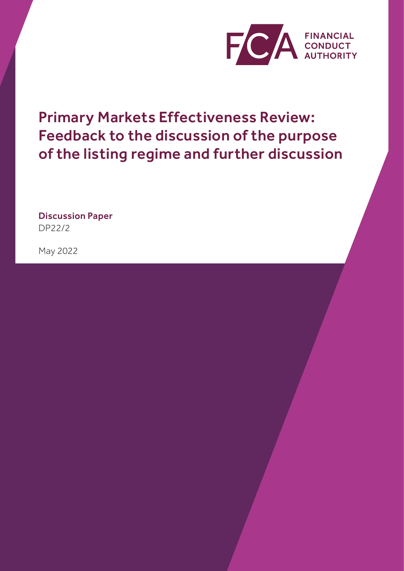

Primary Markets Effectiveness Review: Feedback to the discussion of the purpose of the listing regime and further discussion

Discussion Paper DP22/2

May 2022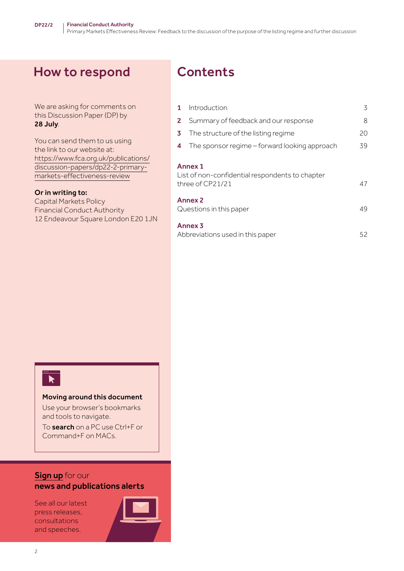# How to respond

We are asking for comments on this Discussion Paper (DP) by 28 July.

You can send them to us using the link to our website at: [https://www.fca.org.uk/publications/](https://www.fca.org.uk/publications/discussion-papers/dp22-2-primary-markets-effectiveness-review) [discussion-papers/dp22-2-primary](https://www.fca.org.uk/publications/discussion-papers/dp22-2-primary-markets-effectiveness-review)[markets-effectiveness-review](https://www.fca.org.uk/publications/discussion-papers/dp22-2-primary-markets-effectiveness-review)

#### Or in writing to:

Capital Markets Policy Financial Conduct Authority 12 Endeavour Square London E20 1JN

# **Contents**

| $\mathbf{1}$ | Introduction                                                                          | 3  |
|--------------|---------------------------------------------------------------------------------------|----|
| $\mathbf{2}$ | Summary of feedback and our response                                                  | 8  |
| 3            | The structure of the listing regime                                                   | 20 |
| 4            | The sponsor regime – forward looking approach                                         | 39 |
|              | <b>Annex 1</b><br>List of non-confidential respondents to chapter<br>three of CP21/21 | 47 |
|              | <b>Annex 2</b><br>Questions in this paper                                             | 49 |
|              | <b>Annex 3</b><br>Abbreviations used in this paper                                    | 52 |



#### Moving around this document

Use your browser's bookmarks and tools to navigate.

To search on a PC use Ctrl+F or Command+F on MACs.

### **[Sign up](https://www.fca.org.uk/news-and-publications-email-alerts?doc=#utm_source=signup&utm_medium=document&utm_campaign=newsandpubs)** for our news and publications alerts

See all our latest press releases, consultations and speeches.

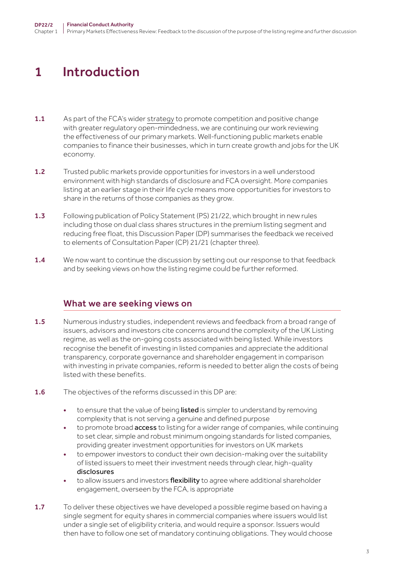# <span id="page-2-0"></span>1 Introduction

- 1.1 As part of the FCA's wider [strategy](https://www.fca.org.uk/publication/corporate/our-strategy-2022-25.pdf) to promote competition and positive change with greater regulatory open-mindedness, we are continuing our work reviewing the effectiveness of our primary markets. Well-functioning public markets enable companies to finance their businesses, which in turn create growth and jobs for the UK economy.
- 1.2 Trusted public markets provide opportunities for investors in a well understood environment with high standards of disclosure and FCA oversight. More companies listing at an earlier stage in their life cycle means more opportunities for investors to share in the returns of those companies as they grow.
- 1.3 Following publication of Policy Statement (PS) 21/22, which brought in new rules including those on dual class shares structures in the premium listing segment and reducing free float, this Discussion Paper (DP) summarises the feedback we received to elements of Consultation Paper (CP) 21/21 (chapter three).
- 1.4 We now want to continue the discussion by setting out our response to that feedback and by seeking views on how the listing regime could be further reformed.

## What we are seeking views on

- **1.5** Numerous industry studies, independent reviews and feedback from a broad range of issuers, advisors and investors cite concerns around the complexity of the UK Listing regime, as well as the on-going costs associated with being listed. While investors recognise the benefit of investing in listed companies and appreciate the additional transparency, corporate governance and shareholder engagement in comparison with investing in private companies, reform is needed to better align the costs of being listed with these benefits.
- 1.6 The objectives of the reforms discussed in this DP are:
	- to ensure that the value of being listed is simpler to understand by removing complexity that is not serving a genuine and defined purpose
	- to promote broad **access** to listing for a wider range of companies, while continuing to set clear, simple and robust minimum ongoing standards for listed companies, providing greater investment opportunities for investors on UK markets
	- to empower investors to conduct their own decision-making over the suitability of listed issuers to meet their investment needs through clear, high-quality disclosures
	- to allow issuers and investors flexibility to agree where additional shareholder engagement, overseen by the FCA, is appropriate
- 1.7 To deliver these objectives we have developed a possible regime based on having a single segment for equity shares in commercial companies where issuers would list under a single set of eligibility criteria, and would require a sponsor. Issuers would then have to follow one set of mandatory continuing obligations. They would choose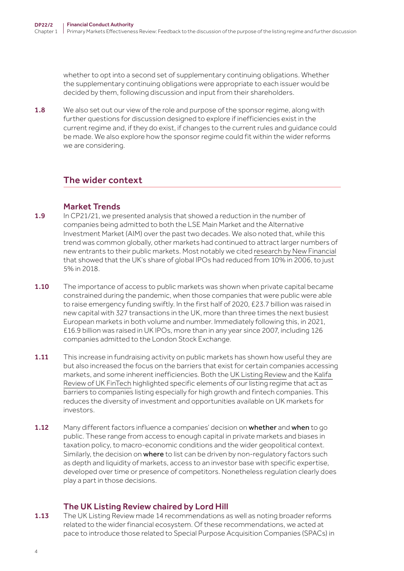whether to opt into a second set of supplementary continuing obligations. Whether the supplementary continuing obligations were appropriate to each issuer would be decided by them, following discussion and input from their shareholders.

**1.8** We also set out our view of the role and purpose of the sponsor regime, along with further questions for discussion designed to explore if inefficiencies exist in the current regime and, if they do exist, if changes to the current rules and guidance could be made. We also explore how the sponsor regime could fit within the wider reforms we are considering.

## The wider context

### Market Trends

- 1.9 In CP21/21, we presented analysis that showed a reduction in the number of companies being admitted to both the LSE Main Market and the Alternative Investment Market (AIM) over the past two decades. We also noted that, while this trend was common globally, other markets had continued to attract larger numbers of new entrants to their public markets. Most notably we cited [research by New Financial](https://newfinancial.org/wp-content/uploads/2020/10/2020.10-Beyond-Brexit-the-future-of-UK-banking-finance.pdf) that showed that the UK's share of global IPOs had reduced from 10% in 2006, to just 5% in 2018.
- 1.10 The importance of access to public markets was shown when private capital became constrained during the pandemic, when those companies that were public were able to raise emergency funding swiftly. In the first half of 2020, £23.7 billion was raised in new capital with 327 transactions in the UK, more than three times the next busiest European markets in both volume and number. Immediately following this, in 2021, £16.9 billion was raised in UK IPOs, more than in any year since 2007, including 126 companies admitted to the London Stock Exchange.
- 1.11 This increase in fundraising activity on public markets has shown how useful they are but also increased the focus on the barriers that exist for certain companies accessing markets, and some inherent inefficiencies. Both the [UK Listing Review](https://www.gov.uk/government/publications/uk-listings-review) and the [Kalifa](https://assets.publishing.service.gov.uk/government/uploads/system/uploads/attachment_data/file/978396/KalifaReviewofUKFintech01.pdf)  [Review of UK FinTech](https://assets.publishing.service.gov.uk/government/uploads/system/uploads/attachment_data/file/978396/KalifaReviewofUKFintech01.pdf) highlighted specific elements of our listing regime that act as barriers to companies listing especially for high growth and fintech companies. This reduces the diversity of investment and opportunities available on UK markets for investors.
- **1.12** Many different factors influence a companies' decision on whether and when to go public. These range from access to enough capital in private markets and biases in taxation policy, to macro-economic conditions and the wider geopolitical context. Similarly, the decision on where to list can be driven by non-regulatory factors such as depth and liquidity of markets, access to an investor base with specific expertise, developed over time or presence of competitors. Nonetheless regulation clearly does play a part in those decisions.

## The UK Listing Review chaired by Lord Hill

**1.13** The UK Listing Review made 14 recommendations as well as noting broader reforms related to the wider financial ecosystem. Of these recommendations, we acted at pace to introduce those related to Special Purpose Acquisition Companies (SPACs) in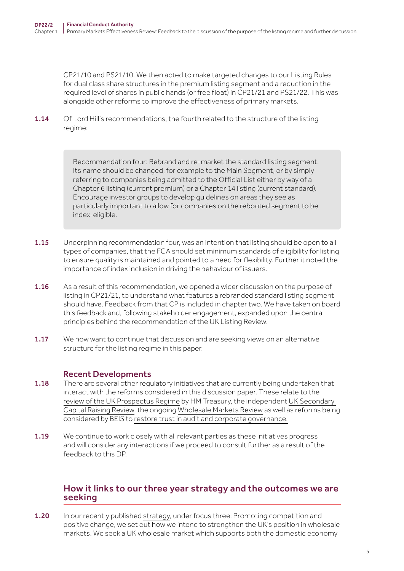CP21/10 and PS21/10. We then acted to make targeted changes to our Listing Rules for dual class share structures in the premium listing segment and a reduction in the required level of shares in public hands (or free float) in CP21/21 and PS21/22. This was alongside other reforms to improve the effectiveness of primary markets.

1.14 Of Lord Hill's recommendations, the fourth related to the structure of the listing regime:

> Recommendation four: Rebrand and re-market the standard listing segment. Its name should be changed, for example to the Main Segment, or by simply referring to companies being admitted to the Official List either by way of a Chapter 6 listing (current premium) or a Chapter 14 listing (current standard). Encourage investor groups to develop guidelines on areas they see as particularly important to allow for companies on the rebooted segment to be index-eligible.

- 1.15 Underpinning recommendation four, was an intention that listing should be open to all types of companies, that the FCA should set minimum standards of eligibility for listing to ensure quality is maintained and pointed to a need for flexibility. Further it noted the importance of index inclusion in driving the behaviour of issuers.
- 1.16 As a result of this recommendation, we opened a wider discussion on the purpose of listing in CP21/21, to understand what features a rebranded standard listing segment should have. Feedback from that CP is included in chapter two. We have taken on board this feedback and, following stakeholder engagement, expanded upon the central principles behind the recommendation of the UK Listing Review.
- 1.17 We now want to continue that discussion and are seeking views on an alternative structure for the listing regime in this paper.

### Recent Developments

- 1.18 There are several other regulatory initiatives that are currently being undertaken that interact with the reforms considered in this discussion paper. These relate to the [review of the UK Prospectus Regime](https://www.gov.uk/government/consultations/uk-prospectus-regime-a-consultation) by HM Treasury, the independent [UK Secondary](https://www.gov.uk/government/publications/uk-secondary-capital-raising-review)  [Capital Raising Review,](https://www.gov.uk/government/publications/uk-secondary-capital-raising-review) the ongoing [Wholesale Markets Review](https://www.gov.uk/government/consultations/uk-wholesale-markets-review-a-consultation) as well as reforms being considered by BEIS to [restore trust in audit and corporate governance.](https://www.gov.uk/government/consultations/restoring-trust-in-audit-and-corporate-governance-proposals-on-reforms)
- 1.19 We continue to work closely with all relevant parties as these initiatives progress and will consider any interactions if we proceed to consult further as a result of the feedback to this DP.

### How it links to our three year [strategy](https://www.fca.org.uk/publication/corporate/our-strategy-2022-25.pdf) and the outcomes we are seeking

1.20 In our recently published [strategy](https://www.fca.org.uk/publication/corporate/our-strategy-2022-25.pdf), under focus three: Promoting competition and positive change, we set out how we intend to strengthen the UK's position in wholesale markets. We seek a UK wholesale market which supports both the domestic economy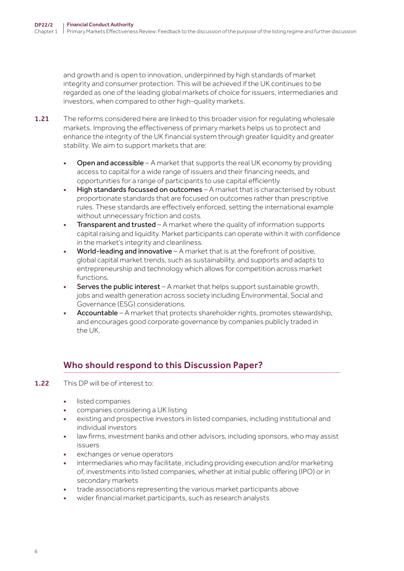and growth and is open to innovation, underpinned by high standards of market integrity and consumer protection. This will be achieved if the UK continues to be regarded as one of the leading global markets of choice for issuers, intermediaries and investors, when compared to other high-quality markets.

- 1.21 The reforms considered here are linked to this broader vision for regulating wholesale markets. Improving the effectiveness of primary markets helps us to protect and enhance the integrity of the UK financial system through greater liquidity and greater stability. We aim to support markets that are:
	- **Open and accessible** A market that supports the real UK economy by providing access to capital for a wide range of issuers and their financing needs, and opportunities for a range of participants to use capital efficiently.
	- High standards focussed on outcomes A market that is characterised by robust proportionate standards that are focused on outcomes rather than prescriptive rules. These standards are effectively enforced, setting the international example without unnecessary friction and costs.
	- Transparent and trusted A market where the quality of information supports capital raising and liquidity. Market participants can operate within it with confidence in the market's integrity and cleanliness.
	- World-leading and innovative  $A$  market that is at the forefront of positive, global capital market trends, such as sustainability, and supports and adapts to entrepreneurship and technology which allows for competition across market functions.
	- Serves the public interest A market that helps support sustainable growth, jobs and wealth generation across society including Environmental, Social and Governance (ESG) considerations.
	- Accountable A market that protects shareholder rights, promotes stewardship, and encourages good corporate governance by companies publicly traded in the UK.

# Who should respond to this Discussion Paper?

- 1.22 This DP will be of interest to:
	- listed companies
	- companies considering a UK listing
	- existing and prospective investors in listed companies, including institutional and individual investors
	- law firms, investment banks and other advisors, including sponsors, who may assist issuers
	- exchanges or venue operators
	- intermediaries who may facilitate, including providing execution and/or marketing of, investments into listed companies, whether at initial public offering (IPO) or in secondary markets
	- trade associations representing the various market participants above
	- wider financial market participants, such as research analysts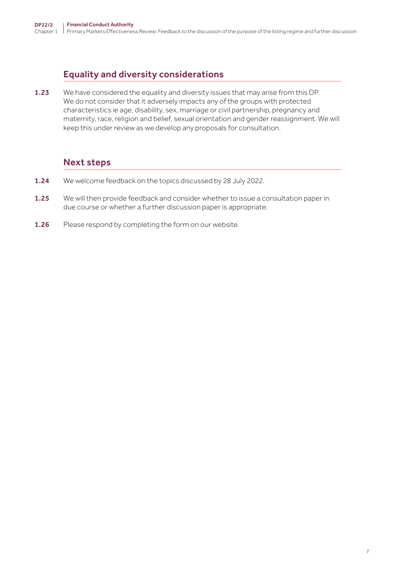# Equality and diversity considerations

1.23 We have considered the equality and diversity issues that may arise from this DP. We do not consider that it adversely impacts any of the groups with protected characteristics ie age, disability, sex, marriage or civil partnership, pregnancy and maternity, race, religion and belief, sexual orientation and gender reassignment. We will keep this under review as we develop any proposals for consultation.

# Next steps

- 1.24 We welcome feedback on the topics discussed by 28 July 2022.
- 1.25 We will then provide feedback and consider whether to issue a consultation paper in due course or whether a further discussion paper is appropriate.
- 1.26 Please respond by completing the form on our website.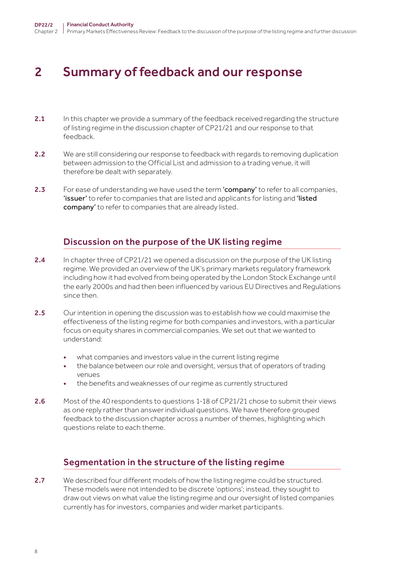# <span id="page-7-0"></span>2 Summary of feedback and our response

- 2.1 In this chapter we provide a summary of the feedback received regarding the structure of listing regime in the discussion chapter of CP21/21 and our response to that feedback.
- 2.2 We are still considering our response to feedback with regards to removing duplication between admission to the Official List and admission to a trading venue, it will therefore be dealt with separately.
- 2.3 For ease of understanding we have used the term 'company' to refer to all companies, 'issuer' to refer to companies that are listed and applicants for listing and 'listed company' to refer to companies that are already listed.

## Discussion on the purpose of the UK listing regime

- 2.4 In chapter three of CP21/21 we opened a discussion on the purpose of the UK listing regime. We provided an overview of the UK's primary markets regulatory framework including how it had evolved from being operated by the London Stock Exchange until the early 2000s and had then been influenced by various EU Directives and Regulations since then.
- 2.5 Our intention in opening the discussion was to establish how we could maximise the effectiveness of the listing regime for both companies and investors, with a particular focus on equity shares in commercial companies. We set out that we wanted to understand:
	- what companies and investors value in the current listing regime
	- the balance between our role and oversight, versus that of operators of trading venues
	- the benefits and weaknesses of our regime as currently structured
- 2.6 Most of the 40 respondents to questions 1-18 of CP21/21 chose to submit their views as one reply rather than answer individual questions. We have therefore grouped feedback to the discussion chapter across a number of themes, highlighting which questions relate to each theme.

# Segmentation in the structure of the listing regime

2.7 We described four different models of how the listing regime could be structured. These models were not intended to be discrete 'options'; instead, they sought to draw out views on what value the listing regime and our oversight of listed companies currently has for investors, companies and wider market participants.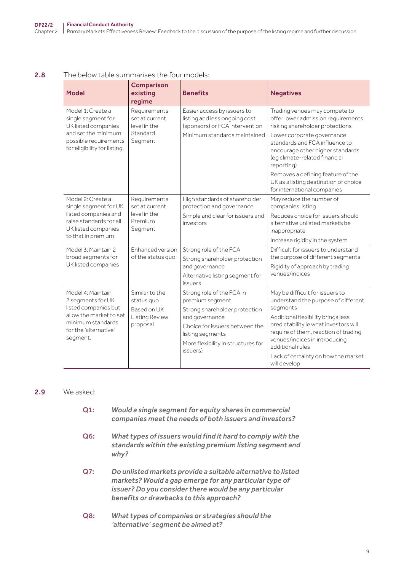#### 2.8 The below table summarises the four models:

| <b>Model</b>                                                                                                                                        | <b>Comparison</b><br>existing<br>regime                                   | <b>Benefits</b>                                                                                                                                                                                         | <b>Negatives</b>                                                                                                                                                                                                                                                                                                                                                       |
|-----------------------------------------------------------------------------------------------------------------------------------------------------|---------------------------------------------------------------------------|---------------------------------------------------------------------------------------------------------------------------------------------------------------------------------------------------------|------------------------------------------------------------------------------------------------------------------------------------------------------------------------------------------------------------------------------------------------------------------------------------------------------------------------------------------------------------------------|
| Model 1: Create a<br>single segment for<br>UK listed companies<br>and set the minimum<br>possible requirements<br>for eligibility for listing.      | Requirements<br>set at current<br>level in the<br>Standard<br>Segment     | Easier access by issuers to<br>listing and less ongoing cost<br>(sponsors) or FCA intervention<br>Minimum standards maintained                                                                          | Trading venues may compete to<br>offer lower admission requirements<br>risking shareholder protections<br>Lower corporate governance<br>standards and FCA influence to<br>encourage other higher standards<br>(eg climate-related financial<br>reporting)<br>Removes a defining feature of the<br>UK as a listing destination of choice<br>for international companies |
| Model 2: Create a<br>single segment for UK<br>listed companies and<br>raise standards for all<br>UK listed companies<br>to that in premium.         | Requirements<br>set at current<br>level in the<br>Premium<br>Segment      | High standards of shareholder<br>protection and governance<br>Simple and clear for issuers and<br>investors                                                                                             | May reduce the number of<br>companies listing<br>Reduces choice for issuers should<br>alternative unlisted markets be<br>inappropriate<br>Increase rigidity in the system                                                                                                                                                                                              |
| Model 3: Maintain 2<br>broad segments for<br>UK listed companies                                                                                    | Enhanced version<br>of the status quo                                     | Strong role of the FCA<br>Strong shareholder protection<br>and governance<br>Alternative listing segment for<br>issuers                                                                                 | Difficult for issuers to understand<br>the purpose of different segments<br>Rigidity of approach by trading<br>venues/indices                                                                                                                                                                                                                                          |
| Model 4: Maintain<br>2 segments for UK<br>listed companies but<br>allow the market to set<br>minimum standards<br>for the 'alternative'<br>segment. | Similar to the<br>status quo<br>Based on UK<br>Listing Review<br>proposal | Strong role of the FCA in<br>premium segment<br>Strong shareholder protection<br>and governance<br>Choice for issuers between the<br>listing segments<br>More flexibility in structures for<br>issuers) | May be difficult for issuers to<br>understand the purpose of different<br>segments<br>Additional flexibility brings less<br>predictability ie what investors will<br>require of them, reaction of trading<br>venues/indices in introducing<br>additional rules<br>Lack of certainty on how the market<br>will develop                                                  |

#### 2.9 We asked:

- Q1: *Would a single segment for equity shares in commercial companies meet the needs of both issuers and investors?*
- Q6: *What types of issuers would find it hard to comply with the standards within the existing premium listing segment and why?*
- Q7: *Do unlisted markets provide a suitable alternative to listed markets? Would a gap emerge for any particular type of issuer? Do you consider there would be any particular benefits or drawbacks to this approach?*
- Q8: *What types of companies or strategies should the 'alternative' segment be aimed at?*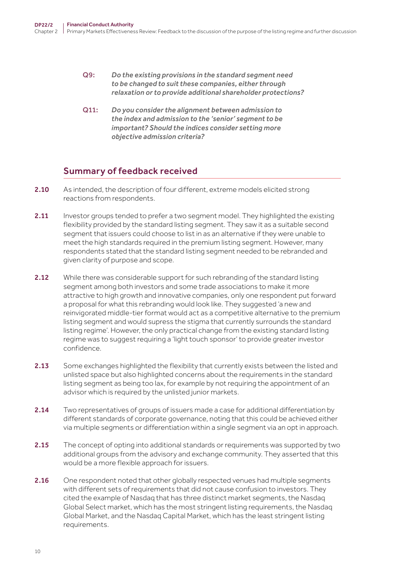- Q9: *Do the existing provisions in the standard segment need to be changed to suit these companies, either through relaxation or to provide additional shareholder protections?*
- Q11: *Do you consider the alignment between admission to the index and admission to the 'senior' segment to be important? Should the indices consider setting more objective admission criteria?*

## Summary of feedback received

- 2.10 As intended, the description of four different, extreme models elicited strong reactions from respondents.
- 2.11 Investor groups tended to prefer a two segment model. They highlighted the existing flexibility provided by the standard listing segment. They saw it as a suitable second segment that issuers could choose to list in as an alternative if they were unable to meet the high standards required in the premium listing segment. However, many respondents stated that the standard listing segment needed to be rebranded and given clarity of purpose and scope.
- 2.12 While there was considerable support for such rebranding of the standard listing segment among both investors and some trade associations to make it more attractive to high growth and innovative companies, only one respondent put forward a proposal for what this rebranding would look like. They suggested 'a new and reinvigorated middle-tier format would act as a competitive alternative to the premium listing segment and would supress the stigma that currently surrounds the standard listing regime'. However, the only practical change from the existing standard listing regime was to suggest requiring a 'light touch sponsor' to provide greater investor confidence.
- 2.13 Some exchanges highlighted the flexibility that currently exists between the listed and unlisted space but also highlighted concerns about the requirements in the standard listing segment as being too lax, for example by not requiring the appointment of an advisor which is required by the unlisted junior markets.
- 2.14 Two representatives of groups of issuers made a case for additional differentiation by different standards of corporate governance, noting that this could be achieved either via multiple segments or differentiation within a single segment via an opt in approach.
- 2.15 The concept of opting into additional standards or requirements was supported by two additional groups from the advisory and exchange community. They asserted that this would be a more flexible approach for issuers.
- 2.16 One respondent noted that other globally respected venues had multiple segments with different sets of requirements that did not cause confusion to investors. They cited the example of Nasdaq that has three distinct market segments, the Nasdaq Global Select market, which has the most stringent listing requirements, the Nasdaq Global Market, and the Nasdaq Capital Market, which has the least stringent listing requirements.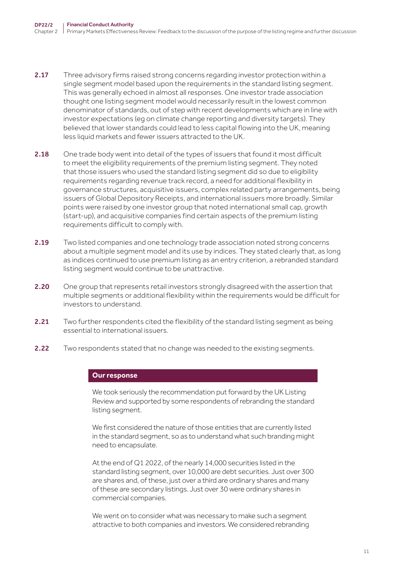- 2.17 Three advisory firms raised strong concerns regarding investor protection within a single segment model based upon the requirements in the standard listing segment. This was generally echoed in almost all responses. One investor trade association thought one listing segment model would necessarily result in the lowest common denominator of standards, out of step with recent developments which are in line with investor expectations (eg on climate change reporting and diversity targets). They believed that lower standards could lead to less capital flowing into the UK, meaning less liquid markets and fewer issuers attracted to the UK.
- 2.18 One trade body went into detail of the types of issuers that found it most difficult to meet the eligibility requirements of the premium listing segment. They noted that those issuers who used the standard listing segment did so due to eligibility requirements regarding revenue track record, a need for additional flexibility in governance structures, acquisitive issuers, complex related party arrangements, being issuers of Global Depository Receipts, and international issuers more broadly. Similar points were raised by one investor group that noted international small cap, growth (start-up), and acquisitive companies find certain aspects of the premium listing requirements difficult to comply with.
- 2.19 Two listed companies and one technology trade association noted strong concerns about a multiple segment model and its use by indices. They stated clearly that, as long as indices continued to use premium listing as an entry criterion, a rebranded standard listing segment would continue to be unattractive.
- 2.20 One group that represents retail investors strongly disagreed with the assertion that multiple segments or additional flexibility within the requirements would be difficult for investors to understand.
- 2.21 Two further respondents cited the flexibility of the standard listing segment as being essential to international issuers.
- 2.22 Two respondents stated that no change was needed to the existing segments.

#### **Our response**

We took seriously the recommendation put forward by the UK Listing Review and supported by some respondents of rebranding the standard listing segment.

We first considered the nature of those entities that are currently listed in the standard segment, so as to understand what such branding might need to encapsulate.

At the end of Q1 2022, of the nearly 14,000 securities listed in the standard listing segment, over 10,000 are debt securities. Just over 300 are shares and, of these, just over a third are ordinary shares and many of these are secondary listings. Just over 30 were ordinary shares in commercial companies.

We went on to consider what was necessary to make such a segment attractive to both companies and investors. We considered rebranding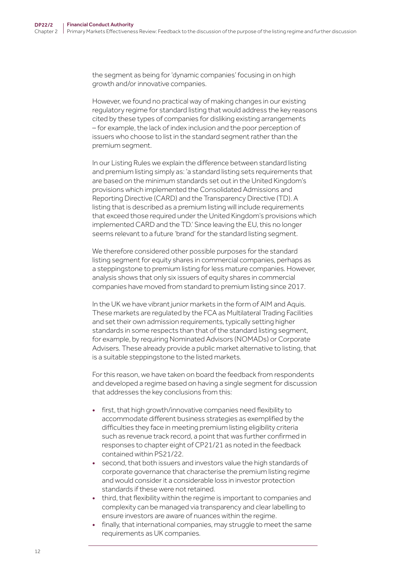the segment as being for 'dynamic companies' focusing in on high growth and/or innovative companies.

However, we found no practical way of making changes in our existing regulatory regime for standard listing that would address the key reasons cited by these types of companies for disliking existing arrangements – for example, the lack of index inclusion and the poor perception of issuers who choose to list in the standard segment rather than the premium segment.

In our Listing Rules we explain the difference between standard listing and premium listing simply as: 'a standard listing sets requirements that are based on the minimum standards set out in the United Kingdom's provisions which implemented the Consolidated Admissions and Reporting Directive (CARD) and the Transparency Directive (TD). A listing that is described as a premium listing will include requirements that exceed those required under the United Kingdom's provisions which implemented CARD and the TD.' Since leaving the EU, this no longer seems relevant to a future 'brand' for the standard listing segment.

We therefore considered other possible purposes for the standard listing segment for equity shares in commercial companies, perhaps as a steppingstone to premium listing for less mature companies. However, analysis shows that only six issuers of equity shares in commercial companies have moved from standard to premium listing since 2017.

In the UK we have vibrant junior markets in the form of AIM and Aquis. These markets are regulated by the FCA as Multilateral Trading Facilities and set their own admission requirements, typically setting higher standards in some respects than that of the standard listing segment, for example, by requiring Nominated Advisors (NOMADs) or Corporate Advisers. These already provide a public market alternative to listing, that is a suitable steppingstone to the listed markets.

For this reason, we have taken on board the feedback from respondents and developed a regime based on having a single segment for discussion that addresses the key conclusions from this:

- first, that high growth/innovative companies need flexibility to accommodate different business strategies as exemplified by the difficulties they face in meeting premium listing eligibility criteria such as revenue track record, a point that was further confirmed in responses to chapter eight of CP21/21 as noted in the feedback contained within PS21/22.
- second, that both issuers and investors value the high standards of corporate governance that characterise the premium listing regime and would consider it a considerable loss in investor protection standards if these were not retained.
- third, that flexibility within the regime is important to companies and complexity can be managed via transparency and clear labelling to ensure investors are aware of nuances within the regime.
- finally, that international companies, may struggle to meet the same requirements as UK companies.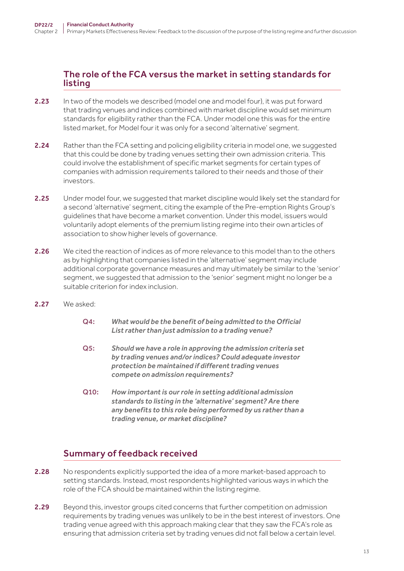## The role of the FCA versus the market in setting standards for listing

- 2.23 In two of the models we described (model one and model four), it was put forward that trading venues and indices combined with market discipline would set minimum standards for eligibility rather than the FCA. Under model one this was for the entire listed market, for Model four it was only for a second 'alternative' segment.
- 2.24 Rather than the FCA setting and policing eligibility criteria in model one, we suggested that this could be done by trading venues setting their own admission criteria. This could involve the establishment of specific market segments for certain types of companies with admission requirements tailored to their needs and those of their investors.
- 2.25 Under model four, we suggested that market discipline would likely set the standard for a second 'alternative' segment, citing the example of the Pre-emption Rights Group's guidelines that have become a market convention. Under this model, issuers would voluntarily adopt elements of the premium listing regime into their own articles of association to show higher levels of governance.
- 2.26 We cited the reaction of indices as of more relevance to this model than to the others as by highlighting that companies listed in the 'alternative' segment may include additional corporate governance measures and may ultimately be similar to the 'senior' segment, we suggested that admission to the 'senior' segment might no longer be a suitable criterion for index inclusion.
- 2.27 We asked:
	- Q4: *What would be the benefit of being admitted to the Official List rather than just admission to a trading venue?*
	- Q5: *Should we have a role in approving the admission criteria set by trading venues and/or indices? Could adequate investor protection be maintained if different trading venues compete on admission requirements?*
	- Q10: *How important is our role in setting additional admission standards to listing in the 'alternative' segment? Are there any benefits to this role being performed by us rather than a trading venue, or market discipline?*

# Summary of feedback received

- 2.28 No respondents explicitly supported the idea of a more market-based approach to setting standards. Instead, most respondents highlighted various ways in which the role of the FCA should be maintained within the listing regime.
- 2.29 Beyond this, investor groups cited concerns that further competition on admission requirements by trading venues was unlikely to be in the best interest of investors. One trading venue agreed with this approach making clear that they saw the FCA's role as ensuring that admission criteria set by trading venues did not fall below a certain level.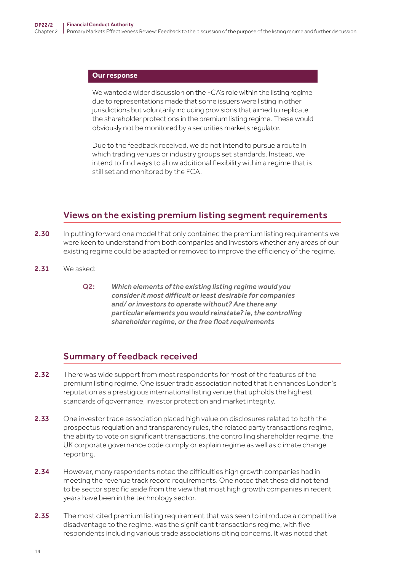#### **Our response**

We wanted a wider discussion on the FCA's role within the listing regime due to representations made that some issuers were listing in other jurisdictions but voluntarily including provisions that aimed to replicate the shareholder protections in the premium listing regime. These would obviously not be monitored by a securities markets regulator.

Due to the feedback received, we do not intend to pursue a route in which trading venues or industry groups set standards. Instead, we intend to find ways to allow additional flexibility within a regime that is still set and monitored by the FCA.

## Views on the existing premium listing segment requirements

- 2.30 In putting forward one model that only contained the premium listing requirements we were keen to understand from both companies and investors whether any areas of our existing regime could be adapted or removed to improve the efficiency of the regime.
- 2.31 We asked:
	- Q2: *Which elements of the existing listing regime would you consider it most difficult or least desirable for companies and/ or investors to operate without? Are there any particular elements you would reinstate? ie, the controlling shareholder regime, or the free float requirements*

## Summary of feedback received

- 2.32 There was wide support from most respondents for most of the features of the premium listing regime. One issuer trade association noted that it enhances London's reputation as a prestigious international listing venue that upholds the highest standards of governance, investor protection and market integrity.
- 2.33 One investor trade association placed high value on disclosures related to both the prospectus regulation and transparency rules, the related party transactions regime, the ability to vote on significant transactions, the controlling shareholder regime, the UK corporate governance code comply or explain regime as well as climate change reporting.
- 2.34 However, many respondents noted the difficulties high growth companies had in meeting the revenue track record requirements. One noted that these did not tend to be sector specific aside from the view that most high growth companies in recent years have been in the technology sector.
- 2.35 The most cited premium listing requirement that was seen to introduce a competitive disadvantage to the regime, was the significant transactions regime, with five respondents including various trade associations citing concerns. It was noted that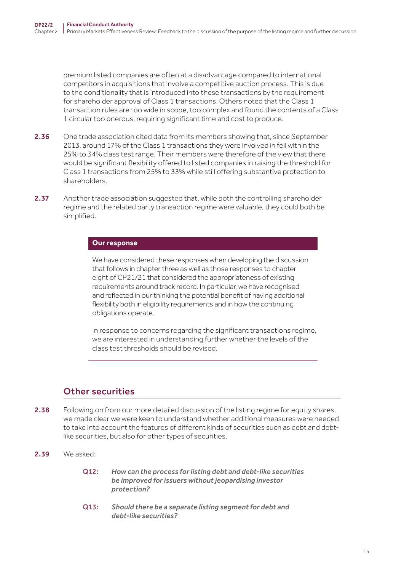premium listed companies are often at a disadvantage compared to international competitors in acquisitions that involve a competitive auction process. This is due to the conditionality that is introduced into these transactions by the requirement for shareholder approval of Class 1 transactions. Others noted that the Class 1 transaction rules are too wide in scope, too complex and found the contents of a Class 1 circular too onerous, requiring significant time and cost to produce.

- 2.36 One trade association cited data from its members showing that, since September 2013, around 17% of the Class 1 transactions they were involved in fell within the 25% to 34% class test range. Their members were therefore of the view that there would be significant flexibility offered to listed companies in raising the threshold for Class 1 transactions from 25% to 33% while still offering substantive protection to shareholders.
- 2.37 Another trade association suggested that, while both the controlling shareholder regime and the related party transaction regime were valuable, they could both be simplified.

#### **Our response**

We have considered these responses when developing the discussion that follows in chapter three as well as those responses to chapter eight of CP21/21 that considered the appropriateness of existing requirements around track record. In particular, we have recognised and reflected in our thinking the potential benefit of having additional flexibility both in eligibility requirements and in how the continuing obligations operate.

In response to concerns regarding the significant transactions regime, we are interested in understanding further whether the levels of the class test thresholds should be revised.

## Other securities

- 2.38 Following on from our more detailed discussion of the listing regime for equity shares, we made clear we were keen to understand whether additional measures were needed to take into account the features of different kinds of securities such as debt and debtlike securities, but also for other types of securities.
- 2.39 We asked:
	- Q12: *How can the process for listing debt and debt-like securities be improved for issuers without jeopardising investor protection?*
	- Q13: *Should there be a separate listing segment for debt and debt-like securities?*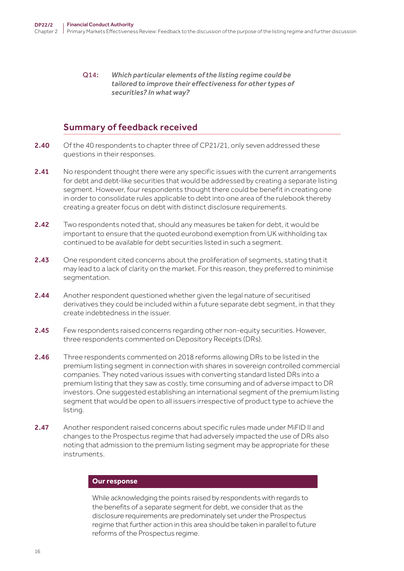#### Q14: *Which particular elements of the listing regime could be tailored to improve their effectiveness for other types of securities? In what way?*

## Summary of feedback received

- 2.40 Of the 40 respondents to chapter three of CP21/21, only seven addressed these questions in their responses.
- 2.41 No respondent thought there were any specific issues with the current arrangements for debt and debt-like securities that would be addressed by creating a separate listing segment. However, four respondents thought there could be benefit in creating one in order to consolidate rules applicable to debt into one area of the rulebook thereby creating a greater focus on debt with distinct disclosure requirements.
- 2.42 Two respondents noted that, should any measures be taken for debt, it would be important to ensure that the quoted eurobond exemption from UK withholding tax continued to be available for debt securities listed in such a segment.
- 2.43 One respondent cited concerns about the proliferation of segments, stating that it may lead to a lack of clarity on the market. For this reason, they preferred to minimise segmentation.
- 2.44 Another respondent questioned whether given the legal nature of securitised derivatives they could be included within a future separate debt segment, in that they create indebtedness in the issuer.
- 2.45 Few respondents raised concerns regarding other non-equity securities. However, three respondents commented on Depository Receipts (DRs).
- 2.46 Three respondents commented on 2018 reforms allowing DRs to be listed in the premium listing segment in connection with shares in sovereign controlled commercial companies. They noted various issues with converting standard listed DRs into a premium listing that they saw as costly, time consuming and of adverse impact to DR investors. One suggested establishing an international segment of the premium listing segment that would be open to all issuers irrespective of product type to achieve the listing.
- 2.47 Another respondent raised concerns about specific rules made under MiFID II and changes to the Prospectus regime that had adversely impacted the use of DRs also noting that admission to the premium listing segment may be appropriate for these instruments.

#### **Our response**

While acknowledging the points raised by respondents with regards to the benefits of a separate segment for debt, we consider that as the disclosure requirements are predominately set under the Prospectus regime that further action in this area should be taken in parallel to future reforms of the Prospectus regime.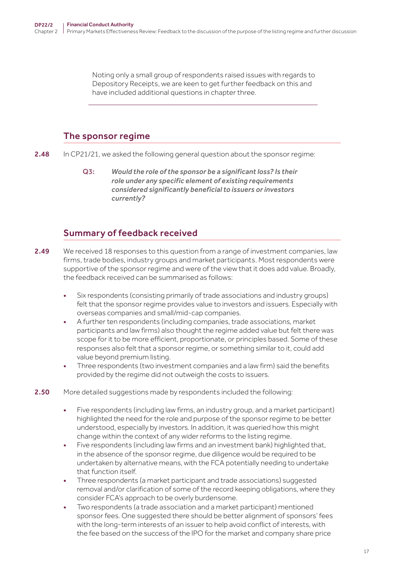Noting only a small group of respondents raised issues with regards to Depository Receipts, we are keen to get further feedback on this and have included additional questions in chapter three.

## The sponsor regime

2.48 In CP21/21, we asked the following general question about the sponsor regime:

Q3: *Would the role of the sponsor be a significant loss? Is their role under any specific element of existing requirements considered significantly beneficial to issuers or investors currently?*

## Summary of feedback received

- **2.49** We received 18 responses to this question from a range of investment companies, law firms, trade bodies, industry groups and market participants. Most respondents were supportive of the sponsor regime and were of the view that it does add value. Broadly, the feedback received can be summarised as follows:
	- Six respondents (consisting primarily of trade associations and industry groups) felt that the sponsor regime provides value to investors and issuers. Especially with overseas companies and small/mid-cap companies.
	- A further ten respondents (including companies, trade associations, market participants and law firms) also thought the regime added value but felt there was scope for it to be more efficient, proportionate, or principles based. Some of these responses also felt that a sponsor regime, or something similar to it, could add value beyond premium listing.
	- Three respondents (two investment companies and a law firm) said the benefits provided by the regime did not outweigh the costs to issuers.
- 2.50 More detailed suggestions made by respondents included the following:
	- Five respondents (including law firms, an industry group, and a market participant) highlighted the need for the role and purpose of the sponsor regime to be better understood, especially by investors. In addition, it was queried how this might change within the context of any wider reforms to the listing regime.
	- Five respondents (including law firms and an investment bank) highlighted that, in the absence of the sponsor regime, due diligence would be required to be undertaken by alternative means, with the FCA potentially needing to undertake that function itself.
	- Three respondents (a market participant and trade associations) suggested removal and/or clarification of some of the record keeping obligations, where they consider FCA's approach to be overly burdensome.
	- Two respondents (a trade association and a market participant) mentioned sponsor fees. One suggested there should be better alignment of sponsors' fees with the long-term interests of an issuer to help avoid conflict of interests, with the fee based on the success of the IPO for the market and company share price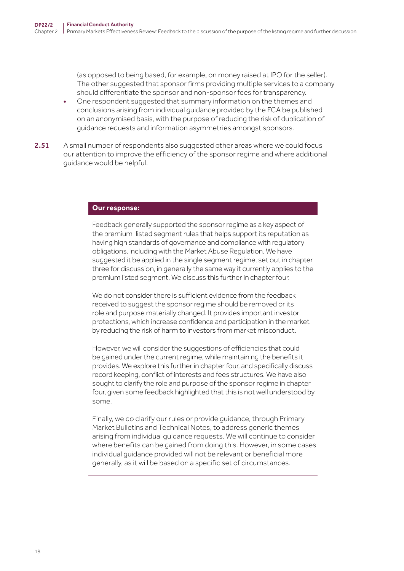(as opposed to being based, for example, on money raised at IPO for the seller). The other suggested that sponsor firms providing multiple services to a company should differentiate the sponsor and non-sponsor fees for transparency.

- One respondent suggested that summary information on the themes and conclusions arising from individual guidance provided by the FCA be published on an anonymised basis, with the purpose of reducing the risk of duplication of guidance requests and information asymmetries amongst sponsors.
- 2.51 A small number of respondents also suggested other areas where we could focus our attention to improve the efficiency of the sponsor regime and where additional guidance would be helpful.

#### **Our response:**

Feedback generally supported the sponsor regime as a key aspect of the premium-listed segment rules that helps support its reputation as having high standards of governance and compliance with regulatory obligations, including with the Market Abuse Regulation. We have suggested it be applied in the single segment regime, set out in chapter three for discussion, in generally the same way it currently applies to the premium listed segment. We discuss this further in chapter four.

We do not consider there is sufficient evidence from the feedback received to suggest the sponsor regime should be removed or its role and purpose materially changed. It provides important investor protections, which increase confidence and participation in the market by reducing the risk of harm to investors from market misconduct.

However, we will consider the suggestions of efficiencies that could be gained under the current regime, while maintaining the benefits it provides. We explore this further in chapter four, and specifically discuss record keeping, conflict of interests and fees structures. We have also sought to clarify the role and purpose of the sponsor regime in chapter four, given some feedback highlighted that this is not well understood by some.

Finally, we do clarify our rules or provide guidance, through Primary Market Bulletins and Technical Notes, to address generic themes arising from individual guidance requests. We will continue to consider where benefits can be gained from doing this. However, in some cases individual guidance provided will not be relevant or beneficial more generally, as it will be based on a specific set of circumstances.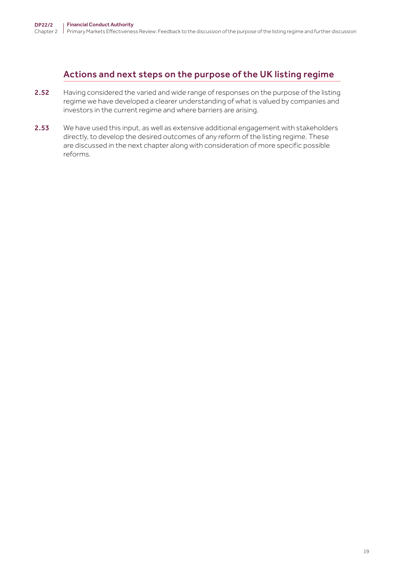## Actions and next steps on the purpose of the UK listing regime

- 2.52 Having considered the varied and wide range of responses on the purpose of the listing regime we have developed a clearer understanding of what is valued by companies and investors in the current regime and where barriers are arising.
- 2.53 We have used this input, as well as extensive additional engagement with stakeholders directly, to develop the desired outcomes of any reform of the listing regime. These are discussed in the next chapter along with consideration of more specific possible reforms.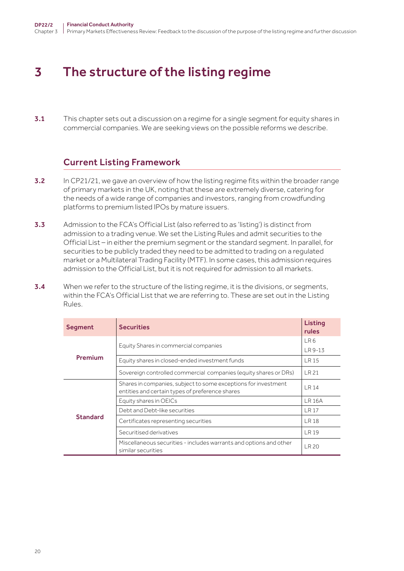# <span id="page-19-0"></span>3 The structure of the listing regime

**3.1** This chapter sets out a discussion on a regime for a single segment for equity shares in commercial companies. We are seeking views on the possible reforms we describe.

## Current Listing Framework

- **3.2** In CP21/21, we gave an overview of how the listing regime fits within the broader range of primary markets in the UK, noting that these are extremely diverse, catering for the needs of a wide range of companies and investors, ranging from crowdfunding platforms to premium listed IPOs by mature issuers.
- 3.3 Admission to the FCA's Official List (also referred to as 'listing') is distinct from admission to a trading venue. We set the Listing Rules and admit securities to the Official List – in either the premium segment or the standard segment. In parallel, for securities to be publicly traded they need to be admitted to trading on a regulated market or a Multilateral Trading Facility (MTF). In some cases, this admission requires admission to the Official List, but it is not required for admission to all markets.
- **3.4** When we refer to the structure of the listing regime, it is the divisions, or segments, within the FCA's Official List that we are referring to. These are set out in the Listing Rules.

| Segment         | <b>Securities</b>                                                                                                 | Listing<br>rules |
|-----------------|-------------------------------------------------------------------------------------------------------------------|------------------|
|                 | Equity Shares in commercial companies                                                                             | LR <sub>6</sub>  |
| Premium         | Equity shares in closed-ended investment funds                                                                    | LR 9-13<br>LR 15 |
|                 | Sovereign controlled commercial companies (equity shares or DRs)                                                  | LR 21            |
|                 | Shares in companies, subject to some exceptions for investment<br>entities and certain types of preference shares | LR 14            |
|                 | Equity shares in OEICs                                                                                            | <b>LR 16A</b>    |
|                 | Debt and Debt-like securities                                                                                     | LR 17            |
| <b>Standard</b> | Certificates representing securities                                                                              | <b>LR18</b>      |
|                 | Securitised derivatives                                                                                           | <b>LR19</b>      |
|                 | Miscellaneous securities - includes warrants and options and other<br>similar securities                          | LR 20            |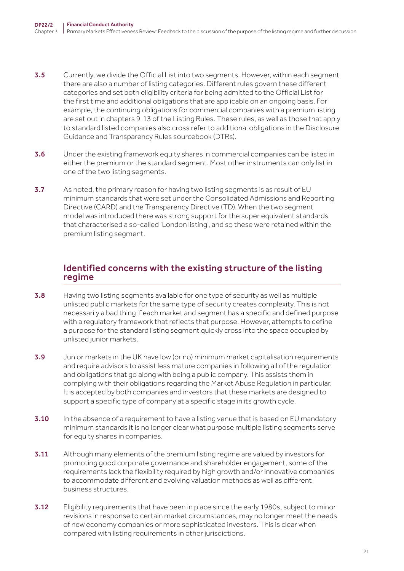- **3.5** Currently, we divide the Official List into two segments. However, within each segment there are also a number of listing categories. Different rules govern these different categories and set both eligibility criteria for being admitted to the Official List for the first time and additional obligations that are applicable on an ongoing basis. For example, the continuing obligations for commercial companies with a premium listing are set out in chapters 9-13 of the Listing Rules. These rules, as well as those that apply to standard listed companies also cross refer to additional obligations in the Disclosure Guidance and Transparency Rules sourcebook (DTRs).
- 3.6 Under the existing framework equity shares in commercial companies can be listed in either the premium or the standard segment. Most other instruments can only list in one of the two listing segments.
- 3.7 As noted, the primary reason for having two listing segments is as result of EU minimum standards that were set under the Consolidated Admissions and Reporting Directive (CARD) and the Transparency Directive (TD). When the two segment model was introduced there was strong support for the super equivalent standards that characterised a so-called 'London listing', and so these were retained within the premium listing segment.

## Identified concerns with the existing structure of the listing regime

- 3.8 Having two listing segments available for one type of security as well as multiple unlisted public markets for the same type of security creates complexity. This is not necessarily a bad thing if each market and segment has a specific and defined purpose with a regulatory framework that reflects that purpose. However, attempts to define a purpose for the standard listing segment quickly cross into the space occupied by unlisted junior markets.
- 3.9 Junior markets in the UK have low (or no) minimum market capitalisation requirements and require advisors to assist less mature companies in following all of the regulation and obligations that go along with being a public company. This assists them in complying with their obligations regarding the Market Abuse Regulation in particular. It is accepted by both companies and investors that these markets are designed to support a specific type of company at a specific stage in its growth cycle.
- 3.10 In the absence of a requirement to have a listing venue that is based on EU mandatory minimum standards it is no longer clear what purpose multiple listing segments serve for equity shares in companies.
- **3.11** Although many elements of the premium listing regime are valued by investors for promoting good corporate governance and shareholder engagement, some of the requirements lack the flexibility required by high growth and/or innovative companies to accommodate different and evolving valuation methods as well as different business structures.
- 3.12 Eligibility requirements that have been in place since the early 1980s, subject to minor revisions in response to certain market circumstances, may no longer meet the needs of new economy companies or more sophisticated investors. This is clear when compared with listing requirements in other jurisdictions.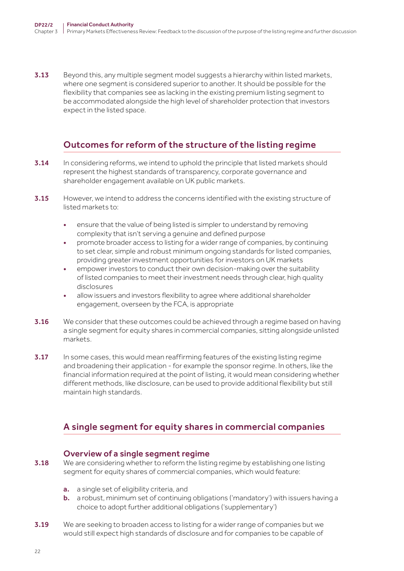3.13 Beyond this, any multiple segment model suggests a hierarchy within listed markets, where one segment is considered superior to another. It should be possible for the flexibility that companies see as lacking in the existing premium listing segment to be accommodated alongside the high level of shareholder protection that investors expect in the listed space.

## Outcomes for reform of the structure of the listing regime

- 3.14 In considering reforms, we intend to uphold the principle that listed markets should represent the highest standards of transparency, corporate governance and shareholder engagement available on UK public markets.
- 3.15 However, we intend to address the concerns identified with the existing structure of listed markets to:
	- ensure that the value of being listed is simpler to understand by removing complexity that isn't serving a genuine and defined purpose
	- promote broader access to listing for a wider range of companies, by continuing to set clear, simple and robust minimum ongoing standards for listed companies, providing greater investment opportunities for investors on UK markets
	- empower investors to conduct their own decision-making over the suitability of listed companies to meet their investment needs through clear, high quality disclosures
	- allow issuers and investors flexibility to agree where additional shareholder engagement, overseen by the FCA, is appropriate
- **3.16** We consider that these outcomes could be achieved through a regime based on having a single segment for equity shares in commercial companies, sitting alongside unlisted markets.
- 3.17 In some cases, this would mean reaffirming features of the existing listing regime and broadening their application - for example the sponsor regime. In others, like the financial information required at the point of listing, it would mean considering whether different methods, like disclosure, can be used to provide additional flexibility but still maintain high standards.

## A single segment for equity shares in commercial companies

### Overview of a single segment regime

- 3.18 We are considering whether to reform the listing regime by establishing one listing segment for equity shares of commercial companies, which would feature:
	- a. a single set of eligibility criteria, and
	- **b.** a robust, minimum set of continuing obligations ('mandatory') with issuers having a choice to adopt further additional obligations ('supplementary')
- 3.19 We are seeking to broaden access to listing for a wider range of companies but we would still expect high standards of disclosure and for companies to be capable of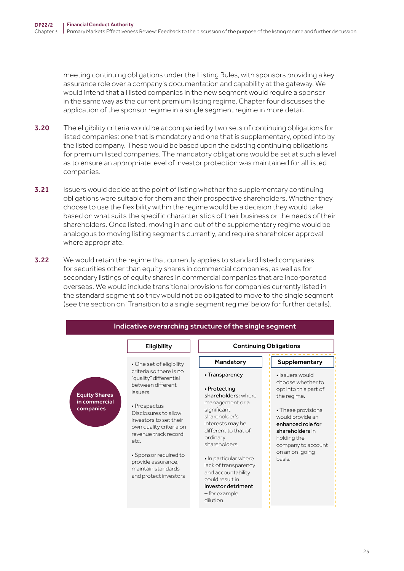meeting continuing obligations under the Listing Rules, with sponsors providing a key assurance role over a company's documentation and capability at the gateway. We would intend that all listed companies in the new segment would require a sponsor in the same way as the current premium listing regime. Chapter four discusses the application of the sponsor regime in a single segment regime in more detail.

- **3.20** The eligibility criteria would be accompanied by two sets of continuing obligations for listed companies: one that is mandatory and one that is supplementary, opted into by the listed company. These would be based upon the existing continuing obligations for premium listed companies. The mandatory obligations would be set at such a level as to ensure an appropriate level of investor protection was maintained for all listed companies.
- 3.21 Issuers would decide at the point of listing whether the supplementary continuing obligations were suitable for them and their prospective shareholders. Whether they choose to use the flexibility within the regime would be a decision they would take based on what suits the specific characteristics of their business or the needs of their shareholders. Once listed, moving in and out of the supplementary regime would be analogous to moving listing segments currently, and require shareholder approval where appropriate.
- 3.22 We would retain the regime that currently applies to standard listed companies for securities other than equity shares in commercial companies, as well as for secondary listings of equity shares in commercial companies that are incorporated overseas. We would include transitional provisions for companies currently listed in the standard segment so they would not be obligated to move to the single segment (see the section on 'Transition to a single segment regime' below for further details).

|                                                    | Eligibility                                                                                                                                                                                                                                              | <b>Continuing Obligations</b>                                                                                                                                                                                                                                                                                |                                                                                                                                                                                         |                                      |
|----------------------------------------------------|----------------------------------------------------------------------------------------------------------------------------------------------------------------------------------------------------------------------------------------------------------|--------------------------------------------------------------------------------------------------------------------------------------------------------------------------------------------------------------------------------------------------------------------------------------------------------------|-----------------------------------------------------------------------------------------------------------------------------------------------------------------------------------------|--------------------------------------|
|                                                    | • One set of eligibility                                                                                                                                                                                                                                 | Mandatory                                                                                                                                                                                                                                                                                                    | Supplementary                                                                                                                                                                           |                                      |
|                                                    | criteria so there is no<br>"quality" differential                                                                                                                                                                                                        |                                                                                                                                                                                                                                                                                                              | • Transparency                                                                                                                                                                          | · Issuers would<br>choose whether to |
| <b>Equity Shares</b><br>in commercial<br>companies | between different<br>issuers.<br>• Prospectus<br>Disclosures to allow<br>investors to set their<br>own quality criteria on<br>revenue track record<br>etc.<br>• Sponsor required to<br>provide assurance,<br>maintain standards<br>and protect investors | • Protecting<br>shareholders: where<br>management or a<br>significant<br>shareholder's<br>interests may be<br>different to that of<br>ordinary<br>shareholders.<br>• In particular where<br>lack of transparency<br>and accountability<br>could result in<br>investor detriment<br>-for example<br>dilution. | opt into this part of<br>the regime.<br>• These provisions<br>would provide an<br>enhanced role for<br>shareholders in<br>holding the<br>company to account<br>on an on-going<br>basis. |                                      |

#### Indicative overarching structure of the single segment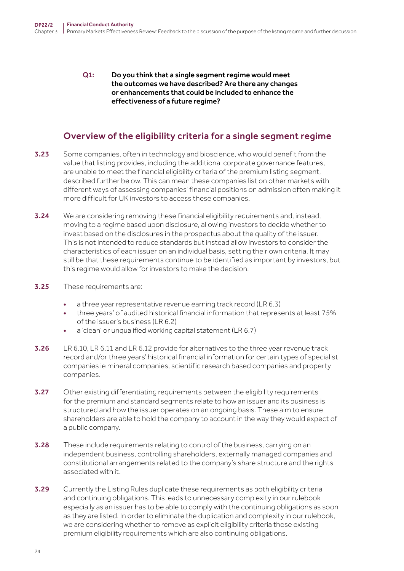Q1: Do you think that a single segment regime would meet the outcomes we have described? Are there any changes or enhancements that could be included to enhance the effectiveness of a future regime?

## Overview of the eligibility criteria for a single segment regime

- 3.23 Some companies, often in technology and bioscience, who would benefit from the value that listing provides, including the additional corporate governance features, are unable to meet the financial eligibility criteria of the premium listing segment, described further below. This can mean these companies list on other markets with different ways of assessing companies' financial positions on admission often making it more difficult for UK investors to access these companies.
- **3.24** We are considering removing these financial eligibility requirements and, instead, moving to a regime based upon disclosure, allowing investors to decide whether to invest based on the disclosures in the prospectus about the quality of the issuer. This is not intended to reduce standards but instead allow investors to consider the characteristics of each issuer on an individual basis, setting their own criteria. It may still be that these requirements continue to be identified as important by investors, but this regime would allow for investors to make the decision.
- 3.25 These requirements are:
	- a three year representative revenue earning track record (LR 6.3)
	- three years' of audited historical financial information that represents at least 75% of the issuer's business (LR 6.2)
	- a 'clean' or unqualified working capital statement (LR 6.7)
- 3.26 LR 6.10, LR 6.11 and LR 6.12 provide for alternatives to the three year revenue track record and/or three years' historical financial information for certain types of specialist companies ie mineral companies, scientific research based companies and property companies.
- **3.27** Other existing differentiating requirements between the eligibility requirements for the premium and standard segments relate to how an issuer and its business is structured and how the issuer operates on an ongoing basis. These aim to ensure shareholders are able to hold the company to account in the way they would expect of a public company.
- 3.28 These include requirements relating to control of the business, carrying on an independent business, controlling shareholders, externally managed companies and constitutional arrangements related to the company's share structure and the rights associated with it.
- **3.29** Currently the Listing Rules duplicate these requirements as both eligibility criteria and continuing obligations. This leads to unnecessary complexity in our rulebook – especially as an issuer has to be able to comply with the continuing obligations as soon as they are listed. In order to eliminate the duplication and complexity in our rulebook, we are considering whether to remove as explicit eligibility criteria those existing premium eligibility requirements which are also continuing obligations.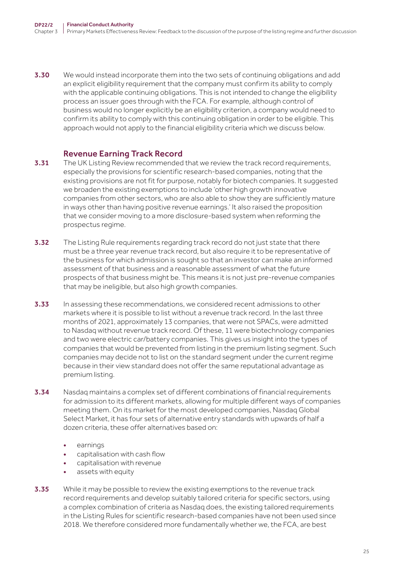3.30 We would instead incorporate them into the two sets of continuing obligations and add an explicit eligibility requirement that the company must confirm its ability to comply with the applicable continuing obligations. This is not intended to change the eligibility process an issuer goes through with the FCA. For example, although control of business would no longer explicitly be an eligibility criterion, a company would need to confirm its ability to comply with this continuing obligation in order to be eligible. This approach would not apply to the financial eligibility criteria which we discuss below.

### Revenue Earning Track Record

- 3.31 The UK Listing Review recommended that we review the track record requirements, especially the provisions for scientific research-based companies, noting that the existing provisions are not fit for purpose, notably for biotech companies. It suggested we broaden the existing exemptions to include 'other high growth innovative companies from other sectors, who are also able to show they are sufficiently mature in ways other than having positive revenue earnings.' It also raised the proposition that we consider moving to a more disclosure-based system when reforming the prospectus regime.
- 3.32 The Listing Rule requirements regarding track record do not just state that there must be a three year revenue track record, but also require it to be representative of the business for which admission is sought so that an investor can make an informed assessment of that business and a reasonable assessment of what the future prospects of that business might be. This means it is not just pre-revenue companies that may be ineligible, but also high growth companies.
- 3.33 In assessing these recommendations, we considered recent admissions to other markets where it is possible to list without a revenue track record. In the last three months of 2021, approximately 13 companies, that were not SPACs, were admitted to Nasdaq without revenue track record. Of these, 11 were biotechnology companies and two were electric car/battery companies. This gives us insight into the types of companies that would be prevented from listing in the premium listing segment. Such companies may decide not to list on the standard segment under the current regime because in their view standard does not offer the same reputational advantage as premium listing.
- **3.34** Nasdaq maintains a complex set of different combinations of financial requirements for admission to its different markets, allowing for multiple different ways of companies meeting them. On its market for the most developed companies, Nasdaq Global Select Market, it has four sets of alternative entry standards with upwards of half a dozen criteria, these offer alternatives based on:
	- earning<sub>s</sub>
	- capitalisation with cash flow
	- capitalisation with revenue
	- assets with equity
- 3.35 While it may be possible to review the existing exemptions to the revenue track record requirements and develop suitably tailored criteria for specific sectors, using a complex combination of criteria as Nasdaq does, the existing tailored requirements in the Listing Rules for scientific research-based companies have not been used since 2018. We therefore considered more fundamentally whether we, the FCA, are best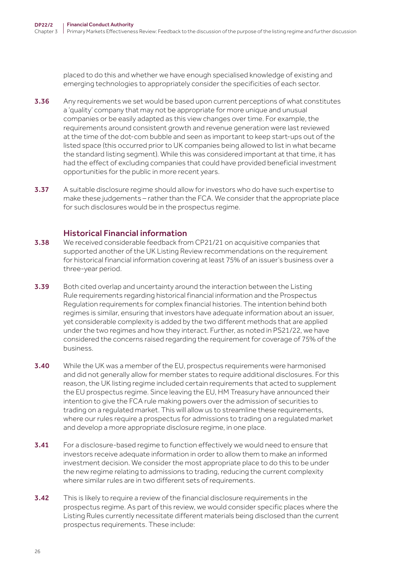placed to do this and whether we have enough specialised knowledge of existing and emerging technologies to appropriately consider the specificities of each sector.

- 3.36 Any requirements we set would be based upon current perceptions of what constitutes a 'quality' company that may not be appropriate for more unique and unusual companies or be easily adapted as this view changes over time. For example, the requirements around consistent growth and revenue generation were last reviewed at the time of the dot-com bubble and seen as important to keep start-ups out of the listed space (this occurred prior to UK companies being allowed to list in what became the standard listing segment). While this was considered important at that time, it has had the effect of excluding companies that could have provided beneficial investment opportunities for the public in more recent years.
- 3.37 A suitable disclosure regime should allow for investors who do have such expertise to make these judgements – rather than the FCA. We consider that the appropriate place for such disclosures would be in the prospectus regime.

#### Historical Financial information

- **3.38** We received considerable feedback from CP21/21 on acquisitive companies that supported another of the UK Listing Review recommendations on the requirement for historical financial information covering at least 75% of an issuer's business over a three-year period.
- 3.39 Both cited overlap and uncertainty around the interaction between the Listing Rule requirements regarding historical financial information and the Prospectus Regulation requirements for complex financial histories. The intention behind both regimes is similar, ensuring that investors have adequate information about an issuer, yet considerable complexity is added by the two different methods that are applied under the two regimes and how they interact. Further, as noted in PS21/22, we have considered the concerns raised regarding the requirement for coverage of 75% of the business.
- 3.40 While the UK was a member of the EU, prospectus requirements were harmonised and did not generally allow for member states to require additional disclosures. For this reason, the UK listing regime included certain requirements that acted to supplement the EU prospectus regime. Since leaving the EU, HM Treasury have announced their intention to give the FCA rule making powers over the admission of securities to trading on a regulated market. This will allow us to streamline these requirements, where our rules require a prospectus for admissions to trading on a regulated market and develop a more appropriate disclosure regime, in one place.
- **3.41** For a disclosure-based regime to function effectively we would need to ensure that investors receive adequate information in order to allow them to make an informed investment decision. We consider the most appropriate place to do this to be under the new regime relating to admissions to trading, reducing the current complexity where similar rules are in two different sets of requirements.
- **3.42** This is likely to require a review of the financial disclosure requirements in the prospectus regime. As part of this review, we would consider specific places where the Listing Rules currently necessitate different materials being disclosed than the current prospectus requirements. These include: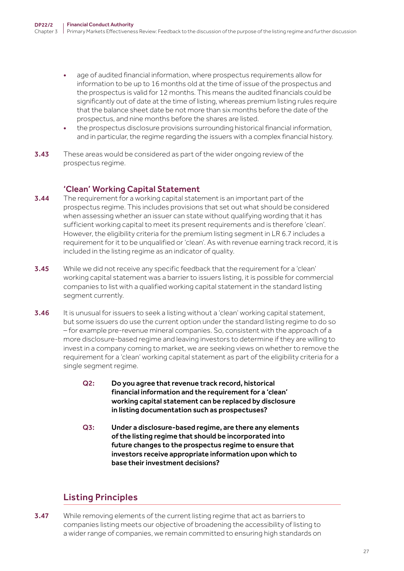- age of audited financial information, where prospectus requirements allow for information to be up to 16 months old at the time of issue of the prospectus and the prospectus is valid for 12 months. This means the audited financials could be significantly out of date at the time of listing, whereas premium listing rules require that the balance sheet date be not more than six months before the date of the prospectus, and nine months before the shares are listed.
- the prospectus disclosure provisions surrounding historical financial information, and in particular, the regime regarding the issuers with a complex financial history.
- **3.43** These areas would be considered as part of the wider ongoing review of the prospectus regime.

### 'Clean' Working Capital Statement

- **3.44** The requirement for a working capital statement is an important part of the prospectus regime. This includes provisions that set out what should be considered when assessing whether an issuer can state without qualifying wording that it has sufficient working capital to meet its present requirements and is therefore 'clean'. However, the eligibility criteria for the premium listing segment in LR 6.7 includes a requirement for it to be unqualified or 'clean'. As with revenue earning track record, it is included in the listing regime as an indicator of quality.
- **3.45** While we did not receive any specific feedback that the requirement for a 'clean' working capital statement was a barrier to issuers listing, it is possible for commercial companies to list with a qualified working capital statement in the standard listing segment currently.
- 3.46 It is unusual for issuers to seek a listing without a 'clean' working capital statement, but some issuers do use the current option under the standard listing regime to do so – for example pre-revenue mineral companies. So, consistent with the approach of a more disclosure-based regime and leaving investors to determine if they are willing to invest in a company coming to market, we are seeking views on whether to remove the requirement for a 'clean' working capital statement as part of the eligibility criteria for a single segment regime.
	- Q2: Do you agree that revenue track record, historical financial information and the requirement for a 'clean' working capital statement can be replaced by disclosure in listing documentation such as prospectuses?
	- Q3: Under a disclosure-based regime, are there any elements of the listing regime that should be incorporated into future changes to the prospectus regime to ensure that investors receive appropriate information upon which to base their investment decisions?

## Listing Principles

**3.47** While removing elements of the current listing regime that act as barriers to companies listing meets our objective of broadening the accessibility of listing to a wider range of companies, we remain committed to ensuring high standards on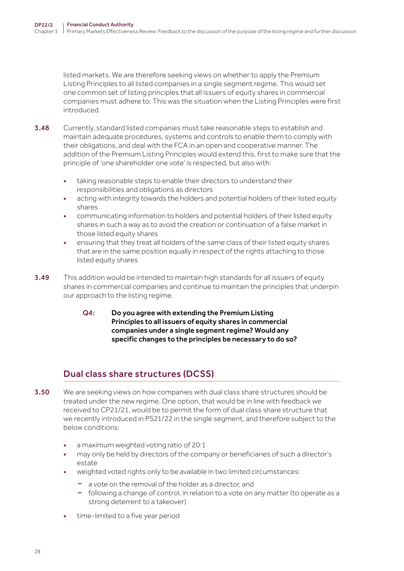listed markets. We are therefore seeking views on whether to apply the Premium Listing Principles to all listed companies in a single segment regime. This would set one common set of listing principles that all issuers of equity shares in commercial companies must adhere to. This was the situation when the Listing Principles were first introduced.

- 3.48 Currently, standard listed companies must take reasonable steps to establish and maintain adequate procedures, systems and controls to enable them to comply with their obligations, and deal with the FCA in an open and cooperative manner. The addition of the Premium Listing Principles would extend this, first to make sure that the principle of 'one shareholder one vote' is respected, but also with:
	- taking reasonable steps to enable their directors to understand their responsibilities and obligations as directors
	- acting with integrity towards the holders and potential holders of their listed equity shares
	- communicating information to holders and potential holders of their listed equity shares in such a way as to avoid the creation or continuation of a false market in those listed equity shares
	- ensuring that they treat all holders of the same class of their listed equity shares that are in the same position equally in respect of the rights attaching to those listed equity shares
- 3.49 This addition would be intended to maintain high standards for all issuers of equity shares in commercial companies and continue to maintain the principles that underpin our approach to the listing regime.
	- Q4: Do you agree with extending the Premium Listing Principles to all issuers of equity shares in commercial companies under a single segment regime? Would any specific changes to the principles be necessary to do so?

# Dual class share structures (DCSS)

- **3.50** We are seeking views on how companies with dual class share structures should be treated under the new regime. One option, that would be in line with feedback we received to CP21/21, would be to permit the form of dual class share structure that we recently introduced in PS21/22 in the single segment, and therefore subject to the below conditions:
	- a maximum weighted voting ratio of 20:1
	- may only be held by directors of the company or beneficiaries of such a director's estate
	- weighted voted rights only to be available in two limited circumstances:
		- a vote on the removal of the holder as a director, and
		- following a change of control, in relation to a vote on any matter (to operate as a strong deterrent to a takeover)
	- time-limited to a five year period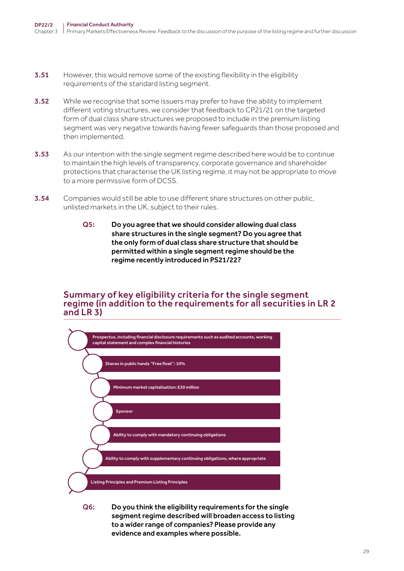- **3.51** However, this would remove some of the existing flexibility in the eligibility requirements of the standard listing segment.
- **3.52** While we recognise that some issuers may prefer to have the ability to implement different voting structures, we consider that feedback to CP21/21 on the targeted form of dual class share structures we proposed to include in the premium listing segment was very negative towards having fewer safeguards than those proposed and then implemented.
- 3.53 As our intention with the single segment regime described here would be to continue to maintain the high levels of transparency, corporate governance and shareholder protections that characterise the UK listing regime, it may not be appropriate to move to a more permissive form of DCSS.
- 3.54 Companies would still be able to use different share structures on other public, unlisted markets in the UK, subject to their rules.
	- Q5: Do you agree that we should consider allowing dual class share structures in the single segment? Do you agree that the only form of dual class share structure that should be permitted within a single segment regime should be the regime recently introduced in PS21/22?

#### Summary of key eligibility criteria for the single segment regime (in addition to the requirements for all securities in LR 2 and LR 3)



Q6: Do you think the eligibility requirements for the single segment regime described will broaden access to listing to a wider range of companies? Please provide any evidence and examples where possible.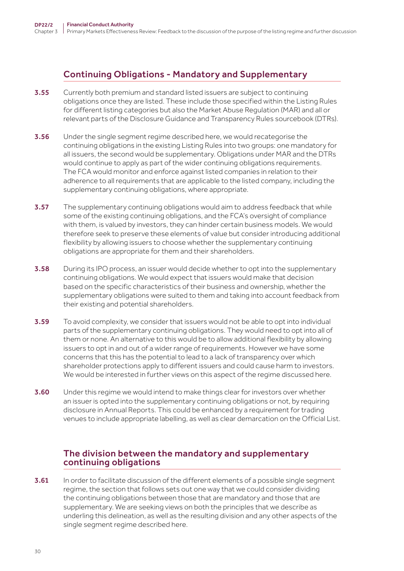# Continuing Obligations - Mandatory and Supplementary

- **3.55** Currently both premium and standard listed issuers are subject to continuing obligations once they are listed. These include those specified within the Listing Rules for different listing categories but also the Market Abuse Regulation (MAR) and all or relevant parts of the Disclosure Guidance and Transparency Rules sourcebook (DTRs).
- 3.56 Under the single segment regime described here, we would recategorise the continuing obligations in the existing Listing Rules into two groups: one mandatory for all issuers, the second would be supplementary. Obligations under MAR and the DTRs would continue to apply as part of the wider continuing obligations requirements. The FCA would monitor and enforce against listed companies in relation to their adherence to all requirements that are applicable to the listed company, including the supplementary continuing obligations, where appropriate.
- **3.57** The supplementary continuing obligations would aim to address feedback that while some of the existing continuing obligations, and the FCA's oversight of compliance with them, is valued by investors, they can hinder certain business models. We would therefore seek to preserve these elements of value but consider introducing additional flexibility by allowing issuers to choose whether the supplementary continuing obligations are appropriate for them and their shareholders.
- **3.58** During its IPO process, an issuer would decide whether to opt into the supplementary continuing obligations. We would expect that issuers would make that decision based on the specific characteristics of their business and ownership, whether the supplementary obligations were suited to them and taking into account feedback from their existing and potential shareholders.
- **3.59** To avoid complexity, we consider that issuers would not be able to opt into individual parts of the supplementary continuing obligations. They would need to opt into all of them or none. An alternative to this would be to allow additional flexibility by allowing issuers to opt in and out of a wider range of requirements. However we have some concerns that this has the potential to lead to a lack of transparency over which shareholder protections apply to different issuers and could cause harm to investors. We would be interested in further views on this aspect of the regime discussed here.
- **3.60** Under this regime we would intend to make things clear for investors over whether an issuer is opted into the supplementary continuing obligations or not, by requiring disclosure in Annual Reports. This could be enhanced by a requirement for trading venues to include appropriate labelling, as well as clear demarcation on the Official List.

## The division between the mandatory and supplementary continuing obligations

**3.61** In order to facilitate discussion of the different elements of a possible single segment regime, the section that follows sets out one way that we could consider dividing the continuing obligations between those that are mandatory and those that are supplementary. We are seeking views on both the principles that we describe as underling this delineation, as well as the resulting division and any other aspects of the single segment regime described here.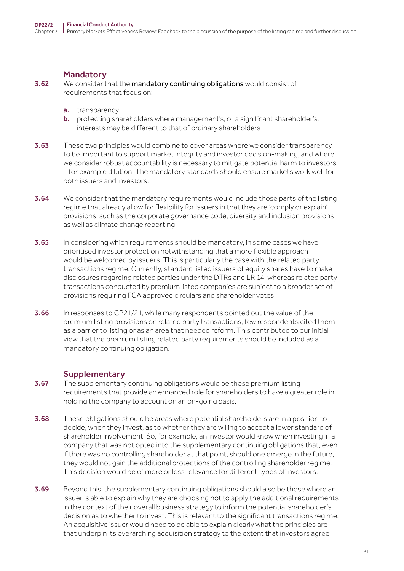#### Mandatory

**3.62** We consider that the mandatory continuing obligations would consist of requirements that focus on:

- a. transparency
- b. protecting shareholders where management's, or a significant shareholder's, interests may be different to that of ordinary shareholders
- 3.63 These two principles would combine to cover areas where we consider transparency to be important to support market integrity and investor decision-making, and where we consider robust accountability is necessary to mitigate potential harm to investors – for example dilution. The mandatory standards should ensure markets work well for both issuers and investors.
- **3.64** We consider that the mandatory requirements would include those parts of the listing regime that already allow for flexibility for issuers in that they are 'comply or explain' provisions, such as the corporate governance code, diversity and inclusion provisions as well as climate change reporting.
- 3.65 In considering which requirements should be mandatory, in some cases we have prioritised investor protection notwithstanding that a more flexible approach would be welcomed by issuers. This is particularly the case with the related party transactions regime. Currently, standard listed issuers of equity shares have to make disclosures regarding related parties under the DTRs and LR 14, whereas related party transactions conducted by premium listed companies are subject to a broader set of provisions requiring FCA approved circulars and shareholder votes.
- 3.66 In responses to CP21/21, while many respondents pointed out the value of the premium listing provisions on related party transactions, few respondents cited them as a barrier to listing or as an area that needed reform. This contributed to our initial view that the premium listing related party requirements should be included as a mandatory continuing obligation.

### **Supplementary**

- **3.67** The supplementary continuing obligations would be those premium listing requirements that provide an enhanced role for shareholders to have a greater role in holding the company to account on an on-going basis.
- **3.68** These obligations should be areas where potential shareholders are in a position to decide, when they invest, as to whether they are willing to accept a lower standard of shareholder involvement. So, for example, an investor would know when investing in a company that was not opted into the supplementary continuing obligations that, even if there was no controlling shareholder at that point, should one emerge in the future, they would not gain the additional protections of the controlling shareholder regime. This decision would be of more or less relevance for different types of investors.
- 3.69 Beyond this, the supplementary continuing obligations should also be those where an issuer is able to explain why they are choosing not to apply the additional requirements in the context of their overall business strategy to inform the potential shareholder's decision as to whether to invest. This is relevant to the significant transactions regime. An acquisitive issuer would need to be able to explain clearly what the principles are that underpin its overarching acquisition strategy to the extent that investors agree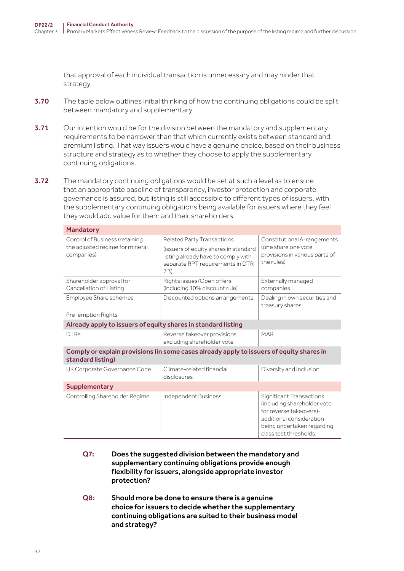that approval of each individual transaction is unnecessary and may hinder that strategy.

- 3.70 The table below outlines initial thinking of how the continuing obligations could be split between mandatory and supplementary.
- 3.71 Our intention would be for the division between the mandatory and supplementary requirements to be narrower than that which currently exists between standard and premium listing. That way issuers would have a genuine choice, based on their business structure and strategy as to whether they choose to apply the supplementary continuing obligations.
- **3.72** The mandatory continuing obligations would be set at such a level as to ensure that an appropriate baseline of transparency, investor protection and corporate governance is assured, but listing is still accessible to different types of issuers, with the supplementary continuing obligations being available for issuers where they feel they would add value for them and their shareholders.

| <b>Mandatory</b>                                                                                              |                                                                                                                                                               |                                                                                                                                                                               |  |
|---------------------------------------------------------------------------------------------------------------|---------------------------------------------------------------------------------------------------------------------------------------------------------------|-------------------------------------------------------------------------------------------------------------------------------------------------------------------------------|--|
| Control of Business (retaining<br>the adjusted regime for mineral<br>companies)                               | <b>Related Party Transactions</b><br>(issuers of equity shares in standard<br>listing already have to comply with<br>separate RPT requirements in DTR<br>7.3) | Constitutional Arrangements<br>(one share one vote<br>provisions in various parts of<br>the rules)                                                                            |  |
| Shareholder approval for<br>Cancellation of Listing                                                           | Rights issues/Open offers<br>(including 10% discount rule)                                                                                                    | Externally managed<br>companies                                                                                                                                               |  |
| Employee Share schemes                                                                                        | Discounted options arrangements                                                                                                                               | Dealing in own securities and<br>treasury shares                                                                                                                              |  |
| Pre-emption Rights                                                                                            |                                                                                                                                                               |                                                                                                                                                                               |  |
| Already apply to issuers of equity shares in standard listing                                                 |                                                                                                                                                               |                                                                                                                                                                               |  |
| <b>DTRs</b>                                                                                                   | Reverse takeover provisions<br>excluding shareholder vote                                                                                                     | MAR                                                                                                                                                                           |  |
| Comply or explain provisions (in some cases already apply to issuers of equity shares in<br>standard listing) |                                                                                                                                                               |                                                                                                                                                                               |  |
| UK Corporate Governance Code                                                                                  | Climate-related financial<br>disclosures                                                                                                                      | Diversity and Inclusion                                                                                                                                                       |  |
| <b>Supplementary</b>                                                                                          |                                                                                                                                                               |                                                                                                                                                                               |  |
| Controlling Shareholder Regime                                                                                | Independent Business                                                                                                                                          | <b>Significant Transactions</b><br>(including shareholder vote<br>for reverse takeovers)-<br>additional consideration<br>being undertaken regarding<br>class test thresholds. |  |

- Q7: Does the suggested division between the mandatory and supplementary continuing obligations provide enough flexibility for issuers, alongside appropriate investor protection?
- Q8: Should more be done to ensure there is a genuine choice for issuers to decide whether the supplementary continuing obligations are suited to their business model and strategy?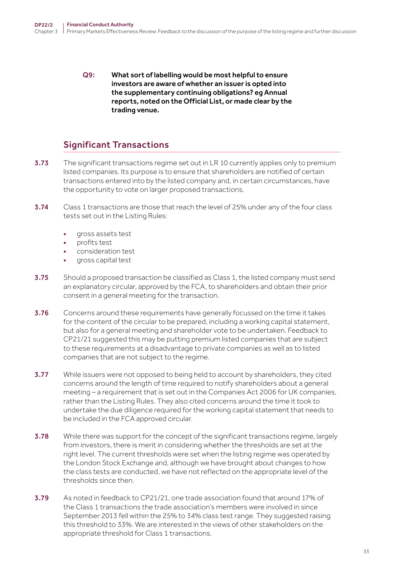Q9: What sort of labelling would be most helpful to ensure investors are aware of whether an issuer is opted into the supplementary continuing obligations? eg Annual reports, noted on the Official List, or made clear by the trading venue.

## Significant Transactions

- 3.73 The significant transactions regime set out in LR 10 currently applies only to premium listed companies. Its purpose is to ensure that shareholders are notified of certain transactions entered into by the listed company and, in certain circumstances, have the opportunity to vote on larger proposed transactions.
- **3.74** Class 1 transactions are those that reach the level of 25% under any of the four class tests set out in the Listing Rules:
	- gross assets test
	- profits test
	- consideration test
	- gross capital test
- 3.75 Should a proposed transaction be classified as Class 1, the listed company must send an explanatory circular, approved by the FCA, to shareholders and obtain their prior consent in a general meeting for the transaction.
- 3.76 Concerns around these requirements have generally focussed on the time it takes for the content of the circular to be prepared, including a working capital statement, but also for a general meeting and shareholder vote to be undertaken. Feedback to CP21/21 suggested this may be putting premium listed companies that are subject to these requirements at a disadvantage to private companies as well as to listed companies that are not subject to the regime.
- **3.77** While issuers were not opposed to being held to account by shareholders, they cited concerns around the length of time required to notify shareholders about a general meeting – a requirement that is set out in the Companies Act 2006 for UK companies, rather than the Listing Rules. They also cited concerns around the time it took to undertake the due diligence required for the working capital statement that needs to be included in the FCA approved circular.
- 3.78 While there was support for the concept of the significant transactions regime, largely from investors, there is merit in considering whether the thresholds are set at the right level. The current thresholds were set when the listing regime was operated by the London Stock Exchange and, although we have brought about changes to how the class tests are conducted, we have not reflected on the appropriate level of the thresholds since then.
- 3.79 As noted in feedback to CP21/21, one trade association found that around 17% of the Class 1 transactions the trade association's members were involved in since September 2013 fell within the 25% to 34% class test range. They suggested raising this threshold to 33%. We are interested in the views of other stakeholders on the appropriate threshold for Class 1 transactions.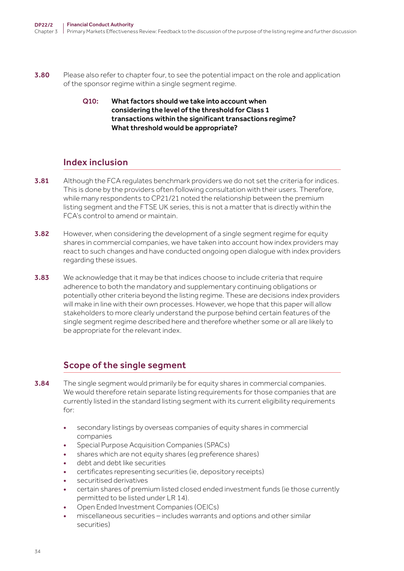- **3.80** Please also refer to chapter four, to see the potential impact on the role and application of the sponsor regime within a single segment regime.
	- Q10: What factors should we take into account when considering the level of the threshold for Class 1 transactions within the significant transactions regime? What threshold would be appropriate?

# Index inclusion

- **3.81** Although the FCA regulates benchmark providers we do not set the criteria for indices. This is done by the providers often following consultation with their users. Therefore, while many respondents to CP21/21 noted the relationship between the premium listing segment and the FTSE UK series, this is not a matter that is directly within the FCA's control to amend or maintain.
- **3.82** However, when considering the development of a single segment regime for equity shares in commercial companies, we have taken into account how index providers may react to such changes and have conducted ongoing open dialogue with index providers regarding these issues.
- 3.83 We acknowledge that it may be that indices choose to include criteria that require adherence to both the mandatory and supplementary continuing obligations or potentially other criteria beyond the listing regime. These are decisions index providers will make in line with their own processes. However, we hope that this paper will allow stakeholders to more clearly understand the purpose behind certain features of the single segment regime described here and therefore whether some or all are likely to be appropriate for the relevant index.

# Scope of the single segment

- **3.84** The single segment would primarily be for equity shares in commercial companies. We would therefore retain separate listing requirements for those companies that are currently listed in the standard listing segment with its current eligibility requirements for:
	- secondary listings by overseas companies of equity shares in commercial companies
	- Special Purpose Acquisition Companies (SPACs)
	- shares which are not equity shares (eq preference shares)
	- debt and debt like securities
	- certificates representing securities (ie, depository receipts)
	- securitised derivatives
	- certain shares of premium listed closed ended investment funds (ie those currently permitted to be listed under LR 14).
	- Open Ended Investment Companies (OEICs)
	- miscellaneous securities includes warrants and options and other similar securities)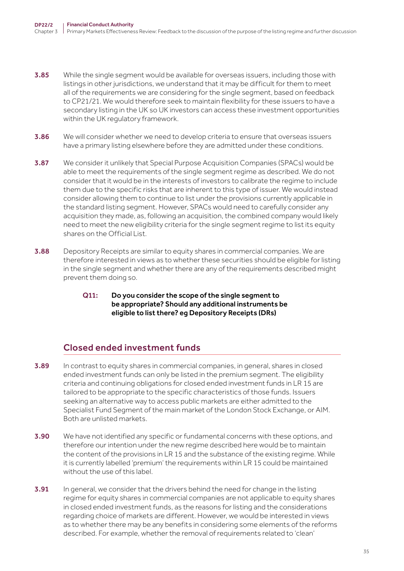- **3.85** While the single segment would be available for overseas issuers, including those with listings in other jurisdictions, we understand that it may be difficult for them to meet all of the requirements we are considering for the single segment, based on feedback to CP21/21. We would therefore seek to maintain flexibility for these issuers to have a secondary listing in the UK so UK investors can access these investment opportunities within the UK regulatory framework.
- **3.86** We will consider whether we need to develop criteria to ensure that overseas issuers have a primary listing elsewhere before they are admitted under these conditions.
- **3.87** We consider it unlikely that Special Purpose Acquisition Companies (SPACs) would be able to meet the requirements of the single segment regime as described. We do not consider that it would be in the interests of investors to calibrate the regime to include them due to the specific risks that are inherent to this type of issuer. We would instead consider allowing them to continue to list under the provisions currently applicable in the standard listing segment. However, SPACs would need to carefully consider any acquisition they made, as, following an acquisition, the combined company would likely need to meet the new eligibility criteria for the single segment regime to list its equity shares on the Official List.
- **3.88** Depository Receipts are similar to equity shares in commercial companies. We are therefore interested in views as to whether these securities should be eligible for listing in the single segment and whether there are any of the requirements described might prevent them doing so.
	- Q11: Do you consider the scope of the single segment to be appropriate? Should any additional instruments be eligible to list there? eg Depository Receipts (DRs)

# Closed ended investment funds

- 3.89 In contrast to equity shares in commercial companies, in general, shares in closed ended investment funds can only be listed in the premium segment. The eligibility criteria and continuing obligations for closed ended investment funds in LR 15 are tailored to be appropriate to the specific characteristics of those funds. Issuers seeking an alternative way to access public markets are either admitted to the Specialist Fund Segment of the main market of the London Stock Exchange, or AIM. Both are unlisted markets.
- **3.90** We have not identified any specific or fundamental concerns with these options, and therefore our intention under the new regime described here would be to maintain the content of the provisions in LR 15 and the substance of the existing regime. While it is currently labelled 'premium' the requirements within LR 15 could be maintained without the use of this label.
- **3.91** In general, we consider that the drivers behind the need for change in the listing regime for equity shares in commercial companies are not applicable to equity shares in closed ended investment funds, as the reasons for listing and the considerations regarding choice of markets are different. However, we would be interested in views as to whether there may be any benefits in considering some elements of the reforms described. For example, whether the removal of requirements related to 'clean'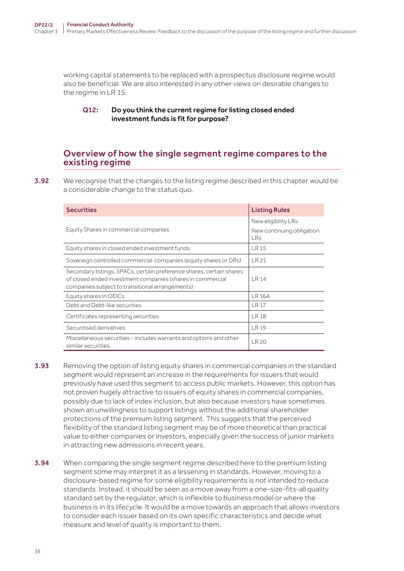working capital statements to be replaced with a prospectus disclosure regime would also be beneficial. We are also interested in any other views on desirable changes to the regime in LR 15.

#### Q12: Do you think the current regime for listing closed ended investment funds is fit for purpose?

### Overview of how the single segment regime compares to the existing regime

**3.92** We recognise that the changes to the listing regime described in this chapter would be a considerable change to the status quo.

| <b>Securities</b>                                                                                                                                                                     | <b>Listing Rules</b>                                    |
|---------------------------------------------------------------------------------------------------------------------------------------------------------------------------------------|---------------------------------------------------------|
| Equity Shares in commercial companies                                                                                                                                                 | New eligibility LRs<br>New continuing obligation<br>LRs |
| Equity shares in closed ended investment funds                                                                                                                                        | LR 15                                                   |
| Sovereign controlled commercial companies (equity shares or DRs)                                                                                                                      | LR 21                                                   |
| Secondary listings, SPACs, certain preference shares, certain shares<br>of closed ended investment companies (shares in commercial<br>companies subject to transitional arrangements) | LR 14                                                   |
| Equity shares in OEICs                                                                                                                                                                | <b>LR 16A</b>                                           |
| Debt and Debt-like securities                                                                                                                                                         | LR <sub>17</sub>                                        |
| Certificates representing securities                                                                                                                                                  | LR 18                                                   |
| Securitised derivatives                                                                                                                                                               | <b>LR 19</b>                                            |
| Miscellaneous securities - includes warrants and options and other<br>similar securities                                                                                              | LR 20                                                   |

- 3.93 Removing the option of listing equity shares in commercial companies in the standard segment would represent an increase in the requirements for issuers that would previously have used this segment to access public markets. However, this option has not proven hugely attractive to issuers of equity shares in commercial companies, possibly due to lack of index inclusion, but also because investors have sometimes shown an unwillingness to support listings without the additional shareholder protections of the premium listing segment. This suggests that the perceived flexibility of the standard listing segment may be of more theoretical than practical value to either companies or investors, especially given the success of junior markets in attracting new admissions in recent years.
- **3.94** When comparing the single segment regime described here to the premium listing segment some may interpret it as a lessening in standards. However, moving to a disclosure-based regime for some eligibility requirements is not intended to reduce standards. Instead, it should be seen as a move away from a one-size-fits-all quality standard set by the regulator, which is inflexible to business model or where the business is in its lifecycle. It would be a move towards an approach that allows investors to consider each issuer based on its own specific characteristics and decide what measure and level of quality is important to them.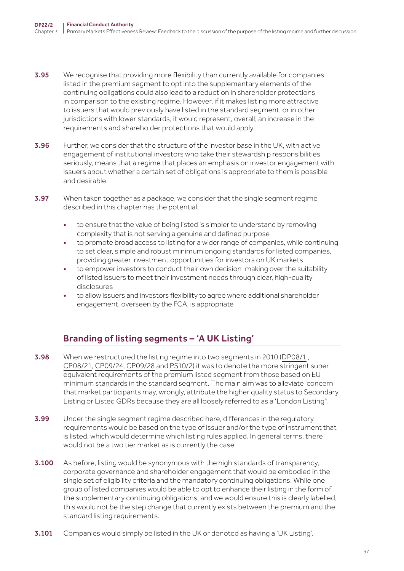- **3.95** We recognise that providing more flexibility than currently available for companies listed in the premium segment to opt into the supplementary elements of the continuing obligations could also lead to a reduction in shareholder protections in comparison to the existing regime. However, if it makes listing more attractive to issuers that would previously have listed in the standard segment, or in other jurisdictions with lower standards, it would represent, overall, an increase in the requirements and shareholder protections that would apply.
- **3.96** Further, we consider that the structure of the investor base in the UK, with active engagement of institutional investors who take their stewardship responsibilities seriously, means that a regime that places an emphasis on investor engagement with issuers about whether a certain set of obligations is appropriate to them is possible and desirable.
- **3.97** When taken together as a package, we consider that the single segment regime described in this chapter has the potential:
	- to ensure that the value of being listed is simpler to understand by removing complexity that is not serving a genuine and defined purpose
	- to promote broad access to listing for a wider range of companies, while continuing to set clear, simple and robust minimum ongoing standards for listed companies, providing greater investment opportunities for investors on UK markets
	- to empower investors to conduct their own decision-making over the suitability of listed issuers to meet their investment needs through clear, high-quality disclosures
	- to allow issuers and investors flexibility to agree where additional shareholder engagement, overseen by the FCA, is appropriate

# Branding of listing segments – 'A UK Listing'

- 3.98 When we restructured the listing regime into two segments in 2010 ([D](https://webarchive.nationalarchives.gov.uk/ukgwa/20091203202622/http:/www.fsa.gov.uk/pubs/discussion/dp08_01.pdf)P08/1, [CP08/21](https://webarchive.nationalarchives.gov.uk/20091203195325/http:/www.fsa.gov.uk/pubs/cp/cp08_21.pdf), [CP09/24,](https://webarchive.nationalarchives.gov.uk/20091203195327/http:/www.fsa.gov.uk/pubs/cp/cp09_24.pdf) [CP09/28](https://webarchive.nationalarchives.gov.uk/20091203172822/http:/www.fsa.gov.uk/pubs/cp/cp09_28.pdf) and [PS10/2\)](https://webarchive.nationalarchives.gov.uk/ukgwa/20110317080350/http:/www.fsa.gov.uk/pubs/policy/ps10_02.pdf) it was to denote the more stringent superequivalent requirements of the premium listed segment from those based on EU minimum standards in the standard segment. The main aim was to alleviate 'concern that market participants may, wrongly, attribute the higher quality status to Secondary Listing or Listed GDRs because they are all loosely referred to as a 'London Listing''.
- 3.99 Under the single segment regime described here, differences in the regulatory requirements would be based on the type of issuer and/or the type of instrument that is listed, which would determine which listing rules applied. In general terms, there would not be a two tier market as is currently the case.
- **3.100** As before, listing would be synonymous with the high standards of transparency, corporate governance and shareholder engagement that would be embodied in the single set of eligibility criteria and the mandatory continuing obligations. While one group of listed companies would be able to opt to enhance their listing in the form of the supplementary continuing obligations, and we would ensure this is clearly labelled, this would not be the step change that currently exists between the premium and the standard listing requirements.
- **3.101** Companies would simply be listed in the UK or denoted as having a 'UK Listing'.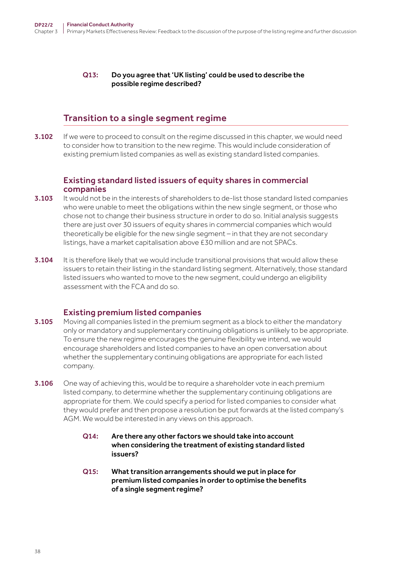#### Q13: Do you agree that 'UK listing' could be used to describe the possible regime described?

## Transition to a single segment regime

**3.102** If we were to proceed to consult on the regime discussed in this chapter, we would need to consider how to transition to the new regime. This would include consideration of existing premium listed companies as well as existing standard listed companies.

#### Existing standard listed issuers of equity shares in commercial companies

- **3.103** It would not be in the interests of shareholders to de-list those standard listed companies who were unable to meet the obligations within the new single segment, or those who chose not to change their business structure in order to do so. Initial analysis suggests there are just over 30 issuers of equity shares in commercial companies which would theoretically be eligible for the new single segment – in that they are not secondary listings, have a market capitalisation above £30 million and are not SPACs.
- 3.104 It is therefore likely that we would include transitional provisions that would allow these issuers to retain their listing in the standard listing segment. Alternatively, those standard listed issuers who wanted to move to the new segment, could undergo an eligibility assessment with the FCA and do so.

### Existing premium listed companies

- **3.105** Moving all companies listed in the premium segment as a block to either the mandatory only or mandatory and supplementary continuing obligations is unlikely to be appropriate. To ensure the new regime encourages the genuine flexibility we intend, we would encourage shareholders and listed companies to have an open conversation about whether the supplementary continuing obligations are appropriate for each listed company.
- 3.106 One way of achieving this, would be to require a shareholder vote in each premium listed company, to determine whether the supplementary continuing obligations are appropriate for them. We could specify a period for listed companies to consider what they would prefer and then propose a resolution be put forwards at the listed company's AGM. We would be interested in any views on this approach.
	- Q14: Are there any other factors we should take into account when considering the treatment of existing standard listed issuers?
	- Q15: What transition arrangements should we put in place for premium listed companies in order to optimise the benefits of a single segment regime?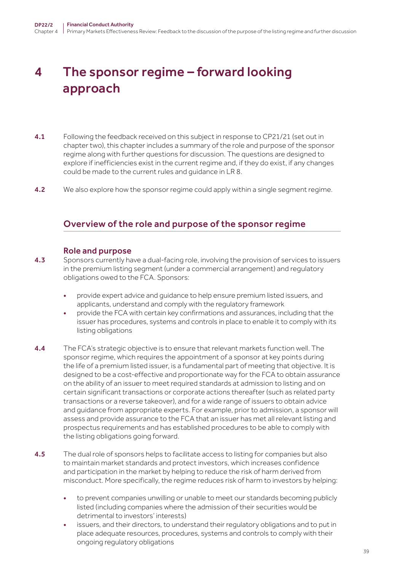# <span id="page-38-0"></span>4 The sponsor regime – forward looking approach

- 4.1 Following the feedback received on this subject in response to CP21/21 (set out in chapter two), this chapter includes a summary of the role and purpose of the sponsor regime along with further questions for discussion. The questions are designed to explore if inefficiencies exist in the current regime and, if they do exist, if any changes could be made to the current rules and guidance in LR 8.
- **4.2** We also explore how the sponsor regime could apply within a single segment regime.

## Overview of the role and purpose of the sponsor regime

#### Role and purpose

- 4.3 Sponsors currently have a dual-facing role, involving the provision of services to issuers in the premium listing segment (under a commercial arrangement) and regulatory obligations owed to the FCA. Sponsors:
	- provide expert advice and guidance to help ensure premium listed issuers, and applicants, understand and comply with the regulatory framework
	- provide the FCA with certain key confirmations and assurances, including that the issuer has procedures, systems and controls in place to enable it to comply with its listing obligations
- 4.4 The FCA's strategic objective is to ensure that relevant markets function well. The sponsor regime, which requires the appointment of a sponsor at key points during the life of a premium listed issuer, is a fundamental part of meeting that objective. It is designed to be a cost-effective and proportionate way for the FCA to obtain assurance on the ability of an issuer to meet required standards at admission to listing and on certain significant transactions or corporate actions thereafter (such as related party transactions or a reverse takeover), and for a wide range of issuers to obtain advice and guidance from appropriate experts. For example, prior to admission, a sponsor will assess and provide assurance to the FCA that an issuer has met all relevant listing and prospectus requirements and has established procedures to be able to comply with the listing obligations going forward.
- **4.5** The dual role of sponsors helps to facilitate access to listing for companies but also to maintain market standards and protect investors, which increases confidence and participation in the market by helping to reduce the risk of harm derived from misconduct. More specifically, the regime reduces risk of harm to investors by helping:
	- to prevent companies unwilling or unable to meet our standards becoming publicly listed (including companies where the admission of their securities would be detrimental to investors' interests)
	- issuers, and their directors, to understand their regulatory obligations and to put in place adequate resources, procedures, systems and controls to comply with their ongoing regulatory obligations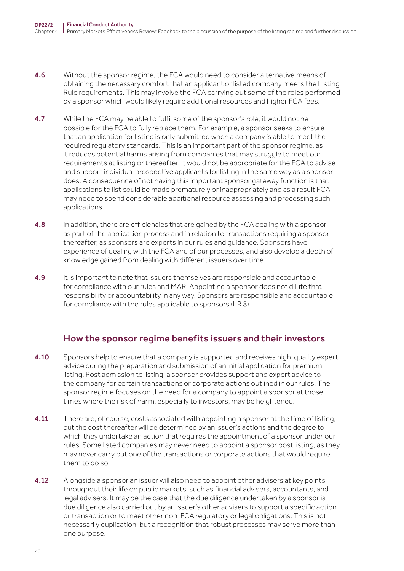- **4.6** Without the sponsor regime, the FCA would need to consider alternative means of obtaining the necessary comfort that an applicant or listed company meets the Listing Rule requirements. This may involve the FCA carrying out some of the roles performed by a sponsor which would likely require additional resources and higher FCA fees.
- 4.7 While the FCA may be able to fulfil some of the sponsor's role, it would not be possible for the FCA to fully replace them. For example, a sponsor seeks to ensure that an application for listing is only submitted when a company is able to meet the required regulatory standards. This is an important part of the sponsor regime, as it reduces potential harms arising from companies that may struggle to meet our requirements at listing or thereafter. It would not be appropriate for the FCA to advise and support individual prospective applicants for listing in the same way as a sponsor does. A consequence of not having this important sponsor gateway function is that applications to list could be made prematurely or inappropriately and as a result FCA may need to spend considerable additional resource assessing and processing such applications.
- 4.8 In addition, there are efficiencies that are gained by the FCA dealing with a sponsor as part of the application process and in relation to transactions requiring a sponsor thereafter, as sponsors are experts in our rules and guidance. Sponsors have experience of dealing with the FCA and of our processes, and also develop a depth of knowledge gained from dealing with different issuers over time.
- 4.9 It is important to note that issuers themselves are responsible and accountable for compliance with our rules and MAR. Appointing a sponsor does not dilute that responsibility or accountability in any way. Sponsors are responsible and accountable for compliance with the rules applicable to sponsors (LR 8).

# How the sponsor regime benefits issuers and their investors

- 4.10 Sponsors help to ensure that a company is supported and receives high-quality expert advice during the preparation and submission of an initial application for premium listing. Post admission to listing, a sponsor provides support and expert advice to the company for certain transactions or corporate actions outlined in our rules. The sponsor regime focuses on the need for a company to appoint a sponsor at those times where the risk of harm, especially to investors, may be heightened.
- 4.11 There are, of course, costs associated with appointing a sponsor at the time of listing, but the cost thereafter will be determined by an issuer's actions and the degree to which they undertake an action that requires the appointment of a sponsor under our rules. Some listed companies may never need to appoint a sponsor post listing, as they may never carry out one of the transactions or corporate actions that would require them to do so.
- **4.12** Alongside a sponsor an issuer will also need to appoint other advisers at key points throughout their life on public markets, such as financial advisers, accountants, and legal advisers. It may be the case that the due diligence undertaken by a sponsor is due diligence also carried out by an issuer's other advisers to support a specific action or transaction or to meet other non-FCA regulatory or legal obligations. This is not necessarily duplication, but a recognition that robust processes may serve more than one purpose.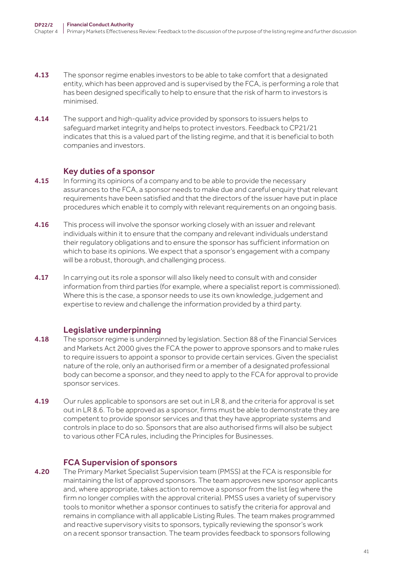- **4.13** The sponsor regime enables investors to be able to take comfort that a designated entity, which has been approved and is supervised by the FCA, is performing a role that has been designed specifically to help to ensure that the risk of harm to investors is minimised.
- 4.14 The support and high-quality advice provided by sponsors to issuers helps to safeguard market integrity and helps to protect investors. Feedback to CP21/21 indicates that this is a valued part of the listing regime, and that it is beneficial to both companies and investors.

#### Key duties of a sponsor

- **4.15** In forming its opinions of a company and to be able to provide the necessary assurances to the FCA, a sponsor needs to make due and careful enquiry that relevant requirements have been satisfied and that the directors of the issuer have put in place procedures which enable it to comply with relevant requirements on an ongoing basis.
- **4.16** This process will involve the sponsor working closely with an issuer and relevant individuals within it to ensure that the company and relevant individuals understand their regulatory obligations and to ensure the sponsor has sufficient information on which to base its opinions. We expect that a sponsor's engagement with a company will be a robust, thorough, and challenging process.
- 4.17 In carrying out its role a sponsor will also likely need to consult with and consider information from third parties (for example, where a specialist report is commissioned). Where this is the case, a sponsor needs to use its own knowledge, judgement and expertise to review and challenge the information provided by a third party.

### Legislative underpinning

- 4.18 The sponsor regime is underpinned by legislation. Section 88 of the Financial Services and Markets Act 2000 gives the FCA the power to approve sponsors and to make rules to require issuers to appoint a sponsor to provide certain services. Given the specialist nature of the role, only an authorised firm or a member of a designated professional body can become a sponsor, and they need to apply to the FCA for approval to provide sponsor services.
- **4.19** Our rules applicable to sponsors are set out in LR 8, and the criteria for approval is set out in LR 8.6. To be approved as a sponsor, firms must be able to demonstrate they are competent to provide sponsor services and that they have appropriate systems and controls in place to do so. Sponsors that are also authorised firms will also be subject to various other FCA rules, including the Principles for Businesses.

#### FCA Supervision of sponsors

**4.20** The Primary Market Specialist Supervision team (PMSS) at the FCA is responsible for maintaining the list of approved sponsors. The team approves new sponsor applicants and, where appropriate, takes action to remove a sponsor from the list (eg where the firm no longer complies with the approval criteria). PMSS uses a variety of supervisory tools to monitor whether a sponsor continues to satisfy the criteria for approval and remains in compliance with all applicable Listing Rules. The team makes programmed and reactive supervisory visits to sponsors, typically reviewing the sponsor's work on a recent sponsor transaction. The team provides feedback to sponsors following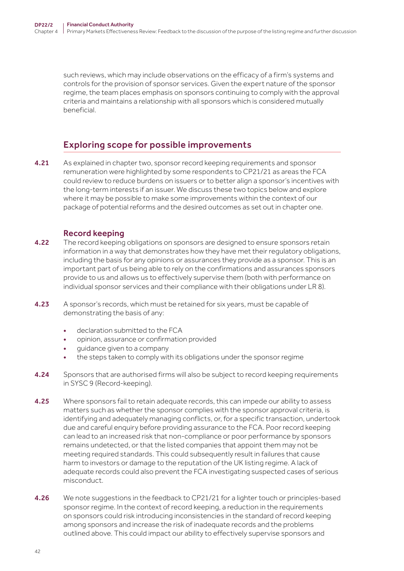such reviews, which may include observations on the efficacy of a firm's systems and controls for the provision of sponsor services. Given the expert nature of the sponsor regime, the team places emphasis on sponsors continuing to comply with the approval criteria and maintains a relationship with all sponsors which is considered mutually beneficial.

## Exploring scope for possible improvements

4.21 As explained in chapter two, sponsor record keeping requirements and sponsor remuneration were highlighted by some respondents to CP21/21 as areas the FCA could review to reduce burdens on issuers or to better align a sponsor's incentives with the long-term interests if an issuer. We discuss these two topics below and explore where it may be possible to make some improvements within the context of our package of potential reforms and the desired outcomes as set out in chapter one.

### Record keeping

- **4.22** The record keeping obligations on sponsors are designed to ensure sponsors retain information in a way that demonstrates how they have met their regulatory obligations, including the basis for any opinions or assurances they provide as a sponsor. This is an important part of us being able to rely on the confirmations and assurances sponsors provide to us and allows us to effectively supervise them (both with performance on individual sponsor services and their compliance with their obligations under LR 8).
- 4.23 A sponsor's records, which must be retained for six years, must be capable of demonstrating the basis of any:
	- declaration submitted to the FCA
	- opinion, assurance or confirmation provided
	- guidance given to a company
	- the steps taken to comply with its obligations under the sponsor regime
- 4.24 Sponsors that are authorised firms will also be subject to record keeping requirements in SYSC 9 (Record-keeping).
- **4.25** Where sponsors fail to retain adequate records, this can impede our ability to assess matters such as whether the sponsor complies with the sponsor approval criteria, is identifying and adequately managing conflicts, or, for a specific transaction, undertook due and careful enquiry before providing assurance to the FCA. Poor record keeping can lead to an increased risk that non-compliance or poor performance by sponsors remains undetected, or that the listed companies that appoint them may not be meeting required standards. This could subsequently result in failures that cause harm to investors or damage to the reputation of the UK listing regime. A lack of adequate records could also prevent the FCA investigating suspected cases of serious misconduct.
- 4.26 We note suggestions in the feedback to CP21/21 for a lighter touch or principles-based sponsor regime. In the context of record keeping, a reduction in the requirements on sponsors could risk introducing inconsistencies in the standard of record keeping among sponsors and increase the risk of inadequate records and the problems outlined above. This could impact our ability to effectively supervise sponsors and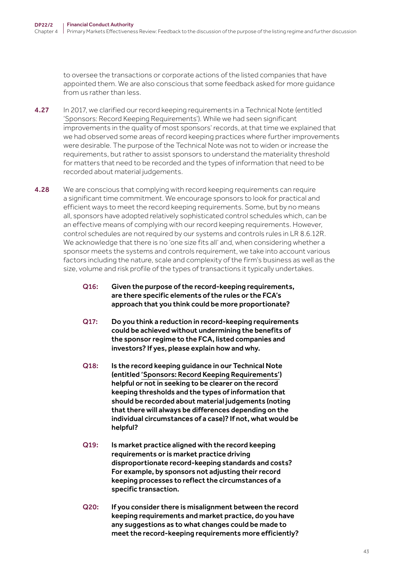to oversee the transactions or corporate actions of the listed companies that have appointed them. We are also conscious that some feedback asked for more guidance from us rather than less.

- 4.27 In 2017, we clarified our record keeping requirements in a Technical Note (entitled ['Sponsors: Record Keeping Requirements'\)](https://www.fca.org.uk/publication/ukla/tn-717-1.pdf). While we had seen significant improvements in the quality of most sponsors' records, at that time we explained that we had observed some areas of record keeping practices where further improvements were desirable. The purpose of the Technical Note was not to widen or increase the requirements, but rather to assist sponsors to understand the materiality threshold for matters that need to be recorded and the types of information that need to be recorded about material judgements.
- 4.28 We are conscious that complying with record keeping requirements can require a significant time commitment. We encourage sponsors to look for practical and efficient ways to meet the record keeping requirements. Some, but by no means all, sponsors have adopted relatively sophisticated control schedules which, can be an effective means of complying with our record keeping requirements. However, control schedules are not required by our systems and controls rules in LR 8.6.12R. We acknowledge that there is no 'one size fits all' and, when considering whether a sponsor meets the systems and controls requirement, we take into account various factors including the nature, scale and complexity of the firm's business as well as the size, volume and risk profile of the types of transactions it typically undertakes.
	- Q16: Given the purpose of the record-keeping requirements, are there specific elements of the rules or the FCA's approach that you think could be more proportionate?
	- Q17: Do you think a reduction in record-keeping requirements could be achieved without undermining the benefits of the sponsor regime to the FCA, listed companies and investors? If yes, please explain how and why.
	- Q18: Is the record keeping guidance in our Technical Note (entitled ['Sponsors: Record Keeping Requirements'](https://www.fca.org.uk/publication/ukla/tn-717-1.pdf)) helpful or not in seeking to be clearer on the record keeping thresholds and the types of information that should be recorded about material judgements (noting that there will always be differences depending on the individual circumstances of a case)? If not, what would be helpful?
	- Q19: Is market practice aligned with the record keeping requirements or is market practice driving disproportionate record-keeping standards and costs? For example, by sponsors not adjusting their record keeping processes to reflect the circumstances of a specific transaction.
	- Q20: If you consider there is misalignment between the record keeping requirements and market practice, do you have any suggestions as to what changes could be made to meet the record-keeping requirements more efficiently?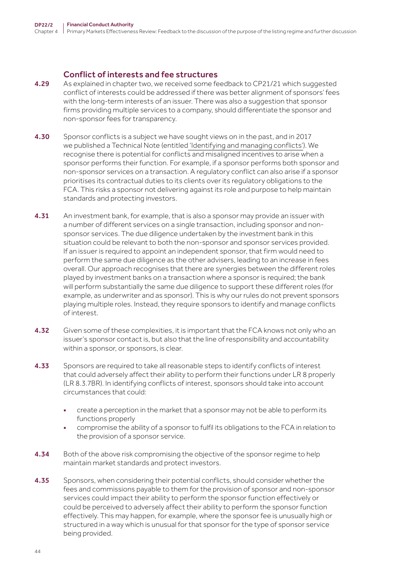#### Conflict of interests and fee structures

- 4.29 As explained in chapter two, we received some feedback to CP21/21 which suggested conflict of interests could be addressed if there was better alignment of sponsors' fees with the long-term interests of an issuer. There was also a suggestion that sponsor firms providing multiple services to a company, should differentiate the sponsor and non-sponsor fees for transparency.
- 4.30 Sponsor conflicts is a subject we have sought views on in the past, and in 2017 we published a Technical Note (entitled ['Identifying and managing conflicts'\)](https://www.fca.org.uk/publication/ukla/tn-701-3.pdf). We recognise there is potential for conflicts and misaligned incentives to arise when a sponsor performs their function. For example, if a sponsor performs both sponsor and non-sponsor services on a transaction. A regulatory conflict can also arise if a sponsor prioritises its contractual duties to its clients over its regulatory obligations to the FCA. This risks a sponsor not delivering against its role and purpose to help maintain standards and protecting investors.
- **4.31** An investment bank, for example, that is also a sponsor may provide an issuer with a number of different services on a single transaction, including sponsor and nonsponsor services. The due diligence undertaken by the investment bank in this situation could be relevant to both the non-sponsor and sponsor services provided. If an issuer is required to appoint an independent sponsor, that firm would need to perform the same due diligence as the other advisers, leading to an increase in fees overall. Our approach recognises that there are synergies between the different roles played by investment banks on a transaction where a sponsor is required; the bank will perform substantially the same due diligence to support these different roles (for example, as underwriter and as sponsor). This is why our rules do not prevent sponsors playing multiple roles. Instead, they require sponsors to identify and manage conflicts of interest.
- 4.32 Given some of these complexities, it is important that the FCA knows not only who an issuer's sponsor contact is, but also that the line of responsibility and accountability within a sponsor, or sponsors, is clear.
- 4.33 Sponsors are required to take all reasonable steps to identify conflicts of interest that could adversely affect their ability to perform their functions under LR 8 properly (LR 8.3.7BR). In identifying conflicts of interest, sponsors should take into account circumstances that could:
	- create a perception in the market that a sponsor may not be able to perform its functions properly
	- compromise the ability of a sponsor to fulfil its obligations to the FCA in relation to the provision of a sponsor service.
- **4.34** Both of the above risk compromising the objective of the sponsor regime to help maintain market standards and protect investors.
- 4.35 Sponsors, when considering their potential conflicts, should consider whether the fees and commissions payable to them for the provision of sponsor and non-sponsor services could impact their ability to perform the sponsor function effectively or could be perceived to adversely affect their ability to perform the sponsor function effectively. This may happen, for example, where the sponsor fee is unusually high or structured in a way which is unusual for that sponsor for the type of sponsor service being provided.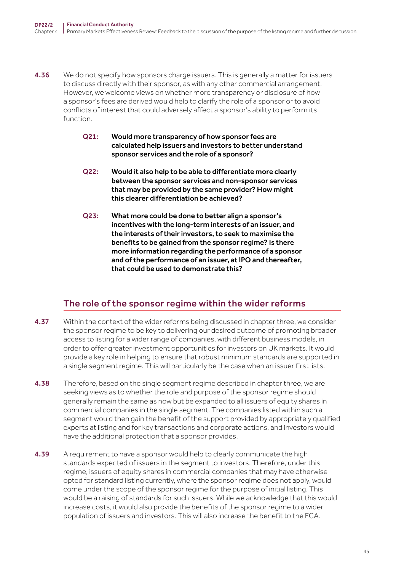- **4.36** We do not specify how sponsors charge issuers. This is generally a matter for issuers to discuss directly with their sponsor, as with any other commercial arrangement. However, we welcome views on whether more transparency or disclosure of how a sponsor's fees are derived would help to clarify the role of a sponsor or to avoid conflicts of interest that could adversely affect a sponsor's ability to perform its function.
	- Q21: Would more transparency of how sponsor fees are calculated help issuers and investors to better understand sponsor services and the role of a sponsor?
	- Q22: Would it also help to be able to differentiate more clearly between the sponsor services and non-sponsor services that may be provided by the same provider? How might this clearer differentiation be achieved?
	- Q23: What more could be done to better align a sponsor's incentives with the long-term interests of an issuer, and the interests of their investors, to seek to maximise the benefits to be gained from the sponsor regime? Is there more information regarding the performance of a sponsor and of the performance of an issuer, at IPO and thereafter, that could be used to demonstrate this?

# The role of the sponsor regime within the wider reforms

- 4.37 Within the context of the wider reforms being discussed in chapter three, we consider the sponsor regime to be key to delivering our desired outcome of promoting broader access to listing for a wider range of companies, with different business models, in order to offer greater investment opportunities for investors on UK markets. It would provide a key role in helping to ensure that robust minimum standards are supported in a single segment regime. This will particularly be the case when an issuer first lists.
- 4.38 Therefore, based on the single segment regime described in chapter three, we are seeking views as to whether the role and purpose of the sponsor regime should generally remain the same as now but be expanded to all issuers of equity shares in commercial companies in the single segment. The companies listed within such a segment would then gain the benefit of the support provided by appropriately qualified experts at listing and for key transactions and corporate actions, and investors would have the additional protection that a sponsor provides.
- 4.39 A requirement to have a sponsor would help to clearly communicate the high standards expected of issuers in the segment to investors. Therefore, under this regime, issuers of equity shares in commercial companies that may have otherwise opted for standard listing currently, where the sponsor regime does not apply, would come under the scope of the sponsor regime for the purpose of initial listing. This would be a raising of standards for such issuers. While we acknowledge that this would increase costs, it would also provide the benefits of the sponsor regime to a wider population of issuers and investors. This will also increase the benefit to the FCA.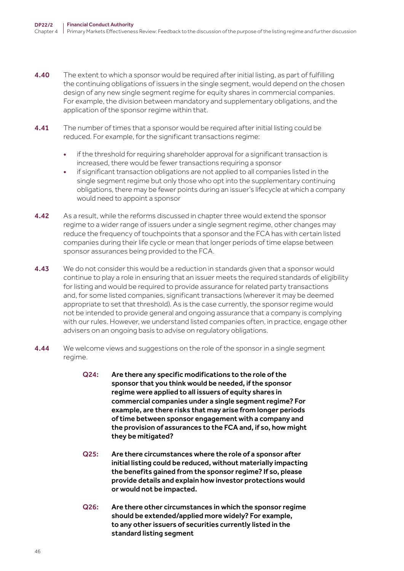- 4.40 The extent to which a sponsor would be required after initial listing, as part of fulfilling the continuing obligations of issuers in the single segment, would depend on the chosen design of any new single segment regime for equity shares in commercial companies. For example, the division between mandatory and supplementary obligations, and the application of the sponsor regime within that.
- **4.41** The number of times that a sponsor would be required after initial listing could be reduced. For example, for the significant transactions regime:
	- if the threshold for requiring shareholder approval for a significant transaction is increased, there would be fewer transactions requiring a sponsor
	- if significant transaction obligations are not applied to all companies listed in the single segment regime but only those who opt into the supplementary continuing obligations, there may be fewer points during an issuer's lifecycle at which a company would need to appoint a sponsor
- **4.42** As a result, while the reforms discussed in chapter three would extend the sponsor regime to a wider range of issuers under a single segment regime, other changes may reduce the frequency of touchpoints that a sponsor and the FCA has with certain listed companies during their life cycle or mean that longer periods of time elapse between sponsor assurances being provided to the FCA.
- **4.43** We do not consider this would be a reduction in standards given that a sponsor would continue to play a role in ensuring that an issuer meets the required standards of eligibility for listing and would be required to provide assurance for related party transactions and, for some listed companies, significant transactions (wherever it may be deemed appropriate to set that threshold). As is the case currently, the sponsor regime would not be intended to provide general and ongoing assurance that a company is complying with our rules. However, we understand listed companies often, in practice, engage other advisers on an ongoing basis to advise on regulatory obligations.
- 4.44 We welcome views and suggestions on the role of the sponsor in a single segment regime.
	- Q24: Are there any specific modifications to the role of the sponsor that you think would be needed, if the sponsor regime were applied to all issuers of equity shares in commercial companies under a single segment regime? For example, are there risks that may arise from longer periods of time between sponsor engagement with a company and the provision of assurances to the FCA and, if so, how might they be mitigated?
	- Q25: Are there circumstances where the role of a sponsor after initial listing could be reduced, without materially impacting the benefits gained from the sponsor regime? If so, please provide details and explain how investor protections would or would not be impacted.
	- Q26: Are there other circumstances in which the sponsor regime should be extended/applied more widely? For example, to any other issuers of securities currently listed in the standard listing segment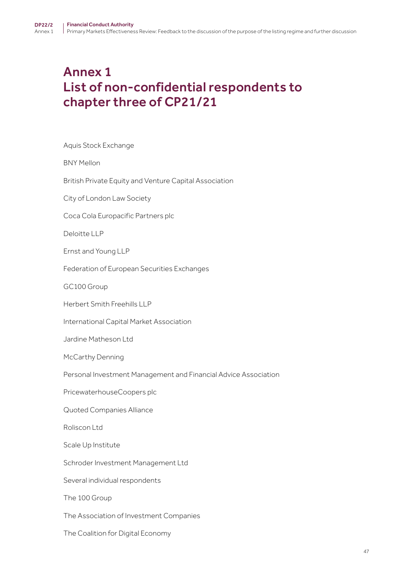# <span id="page-46-0"></span>Annex 1 List of non-confidential respondents to chapter three of CP21/21

Aquis Stock Exchange

BNY Mellon

British Private Equity and Venture Capital Association

City of London Law Society

Coca Cola Europacific Partners plc

Deloitte LLP

Ernst and Young LLP

Federation of European Securities Exchanges

GC100 Group

Herbert Smith Freehills LLP

International Capital Market Association

Jardine Matheson Ltd

McCarthy Denning

Personal Investment Management and Financial Advice Association

PricewaterhouseCoopers plc

Quoted Companies Alliance

Roliscon Ltd

Scale Up Institute

Schroder Investment Management Ltd

Several individual respondents

The 100 Group

The Association of Investment Companies

The Coalition for Digital Economy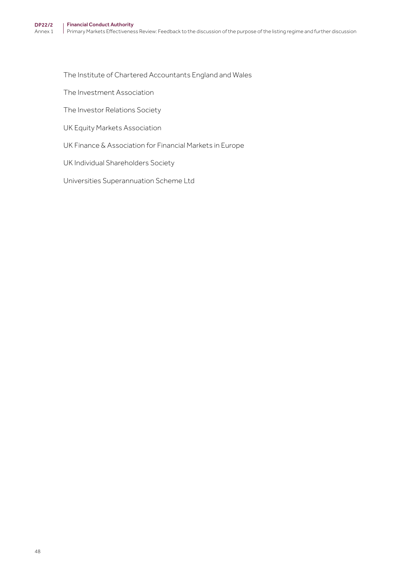The Institute of Chartered Accountants England and Wales

The Investment Association

The Investor Relations Society

UK Equity Markets Association

UK Finance & Association for Financial Markets in Europe

UK Individual Shareholders Society

Universities Superannuation Scheme Ltd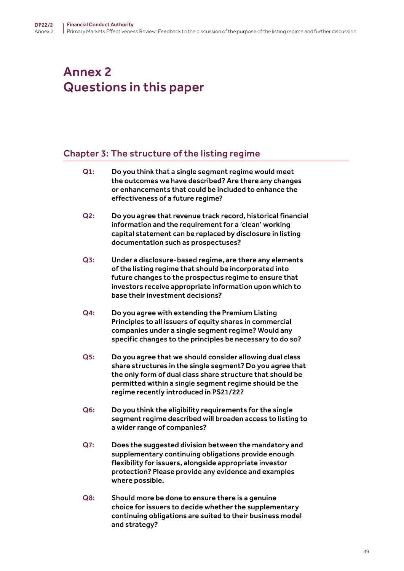# <span id="page-48-0"></span>Annex 2 Questions in this paper

## Chapter 3: The structure of the listing regime

Q1: Do you think that a single segment regime would meet the outcomes we have described? Are there any changes or enhancements that could be included to enhance the effectiveness of a future regime? Q2: Do you agree that revenue track record, historical financial information and the requirement for a 'clean' working

capital statement can be replaced by disclosure in listing

Q3: Under a disclosure-based regime, are there any elements of the listing regime that should be incorporated into future changes to the prospectus regime to ensure that investors receive appropriate information upon which to base their investment decisions?

documentation such as prospectuses?

- Q4: Do you agree with extending the Premium Listing Principles to all issuers of equity shares in commercial companies under a single segment regime? Would any specific changes to the principles be necessary to do so?
- Q5: Do you agree that we should consider allowing dual class share structures in the single segment? Do you agree that the only form of dual class share structure that should be permitted within a single segment regime should be the regime recently introduced in PS21/22?
- Q6: Do you think the eligibility requirements for the single segment regime described will broaden access to listing to a wider range of companies?
- Q7: Does the suggested division between the mandatory and supplementary continuing obligations provide enough flexibility for issuers, alongside appropriate investor protection? Please provide any evidence and examples where possible.
- Q8: Should more be done to ensure there is a genuine choice for issuers to decide whether the supplementary continuing obligations are suited to their business model and strategy?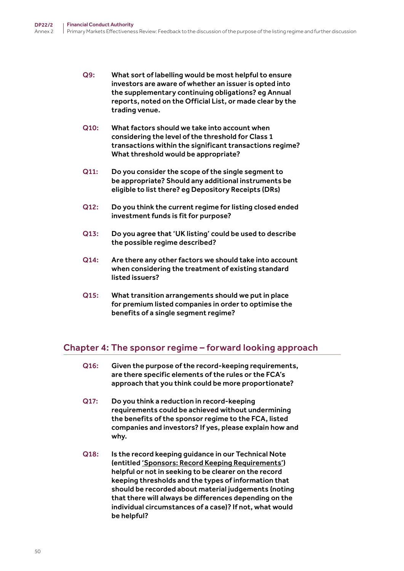- Q9: What sort of labelling would be most helpful to ensure investors are aware of whether an issuer is opted into the supplementary continuing obligations? eg Annual reports, noted on the Official List, or made clear by the trading venue.
- Q10: What factors should we take into account when considering the level of the threshold for Class 1 transactions within the significant transactions regime? What threshold would be appropriate?
- Q11: Do you consider the scope of the single segment to be appropriate? Should any additional instruments be eligible to list there? eg Depository Receipts (DRs)
- Q12: Do you think the current regime for listing closed ended investment funds is fit for purpose?
- Q13: Do you agree that 'UK listing' could be used to describe the possible regime described?
- Q14: Are there any other factors we should take into account when considering the treatment of existing standard listed issuers?
- Q15: What transition arrangements should we put in place for premium listed companies in order to optimise the benefits of a single segment regime?

## Chapter 4: The sponsor regime – forward looking approach

- Q16: Given the purpose of the record-keeping requirements, are there specific elements of the rules or the FCA's approach that you think could be more proportionate?
- Q17: Do you think a reduction in record-keeping requirements could be achieved without undermining the benefits of the sponsor regime to the FCA, listed companies and investors? If yes, please explain how and why.
- Q18: Is the record keeping guidance in our Technical Note (entitled ['Sponsors: Record Keeping Requirements'\)](https://www.fca.org.uk/publication/ukla/tn-717-1.pdf) helpful or not in seeking to be clearer on the record keeping thresholds and the types of information that should be recorded about material judgements (noting that there will always be differences depending on the individual circumstances of a case)? If not, what would be helpful?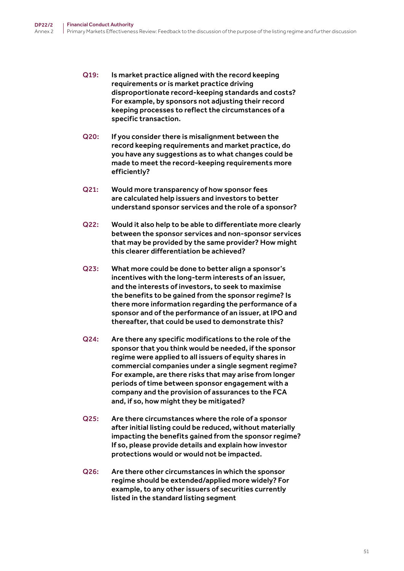- Q19: Is market practice aligned with the record keeping requirements or is market practice driving disproportionate record-keeping standards and costs? For example, by sponsors not adjusting their record keeping processes to reflect the circumstances of a specific transaction.
- Q20: If you consider there is misalignment between the record keeping requirements and market practice, do you have any suggestions as to what changes could be made to meet the record-keeping requirements more efficiently?
- Q21: Would more transparency of how sponsor fees are calculated help issuers and investors to better understand sponsor services and the role of a sponsor?
- Q22: Would it also help to be able to differentiate more clearly between the sponsor services and non-sponsor services that may be provided by the same provider? How might this clearer differentiation be achieved?
- Q23: What more could be done to better align a sponsor's incentives with the long-term interests of an issuer, and the interests of investors, to seek to maximise the benefits to be gained from the sponsor regime? Is there more information regarding the performance of a sponsor and of the performance of an issuer, at IPO and thereafter, that could be used to demonstrate this?
- Q24: Are there any specific modifications to the role of the sponsor that you think would be needed, if the sponsor regime were applied to all issuers of equity shares in commercial companies under a single segment regime? For example, are there risks that may arise from longer periods of time between sponsor engagement with a company and the provision of assurances to the FCA and, if so, how might they be mitigated?
- Q25: Are there circumstances where the role of a sponsor after initial listing could be reduced, without materially impacting the benefits gained from the sponsor regime? If so, please provide details and explain how investor protections would or would not be impacted.
- Q26: Are there other circumstances in which the sponsor regime should be extended/applied more widely? For example, to any other issuers of securities currently listed in the standard listing segment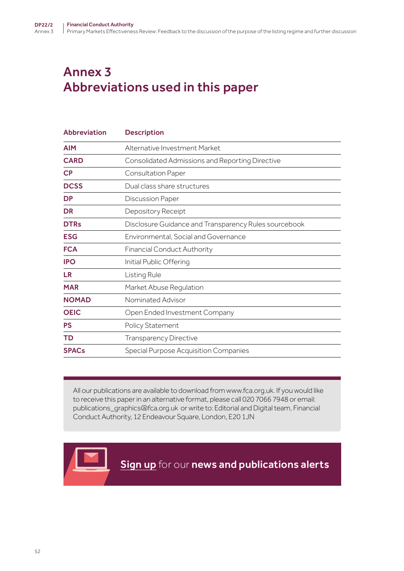# <span id="page-51-0"></span>Annex 3 Abbreviations used in this paper

| <b>Abbreviation</b>    | <b>Description</b>                                    |
|------------------------|-------------------------------------------------------|
| <b>AIM</b>             | Alternative Investment Market                         |
| <b>CARD</b>            | Consolidated Admissions and Reporting Directive       |
| $\mathsf{C}\mathsf{P}$ | Consultation Paper                                    |
| <b>DCSS</b>            | Dual class share structures                           |
| <b>DP</b>              | Discussion Paper                                      |
| <b>DR</b>              | Depository Receipt                                    |
| <b>DTRs</b>            | Disclosure Guidance and Transparency Rules sourcebook |
| <b>ESG</b>             | <b>Environmental, Social and Governance</b>           |
| <b>FCA</b>             | <b>Financial Conduct Authority</b>                    |
| <b>IPO</b>             | Initial Public Offering                               |
| <b>LR</b>              | Listing Rule                                          |
| <b>MAR</b>             | Market Abuse Regulation                               |
| <b>NOMAD</b>           | Nominated Advisor                                     |
| <b>OEIC</b>            | Open Ended Investment Company                         |
| <b>PS</b>              | <b>Policy Statement</b>                               |
| <b>TD</b>              | Transparency Directive                                |
| <b>SPACs</b>           | Special Purpose Acquisition Companies                 |

All our publications are available to download from www.fca.org.uk. If you would like to receive this paper in an alternative format, please call 020 7066 7948 or email: publications\_graphics@fca.org.uk or write to: Editorial and Digital team, Financial Conduct Authority, 12 Endeavour Square, London, E20 1JN



**[Sign up](https://www.fca.org.uk/news-and-publications-email-alerts?doc=#utm_source=signup&utm_medium=document&utm_campaign=newsandpubs)** for our news and publications alerts